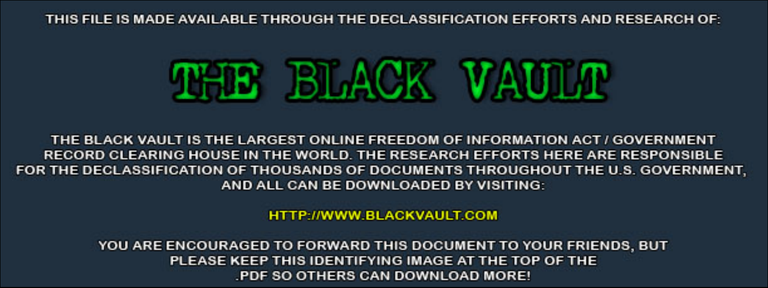THIS FILE IS MADE AVAILABLE THROUGH THE DECLASSIFICATION EFFORTS AND RESEARCH OF:



THE BLACK VAULT IS THE LARGEST ONLINE FREEDOM OF INFORMATION ACT / GOVERNMENT RECORD CLEARING HOUSE IN THE WORLD. THE RESEARCH EFFORTS HERE ARE RESPONSIBLE FOR THE DECLASSIFICATION OF THOUSANDS OF DOCUMENTS THROUGHOUT THE U.S. GOVERNMENT, AND ALL CAN BE DOWNLOADED BY VISITING:

**HTTP://WWW.BLACKVAULT.COM** 

YOU ARE ENCOURAGED TO FORWARD THIS DOCUMENT TO YOUR FRIENDS, BUT PLEASE KEEP THIS IDENTIFYING IMAGE AT THE TOP OF THE PDF SO OTHERS CAN DOWNLOAD MORE!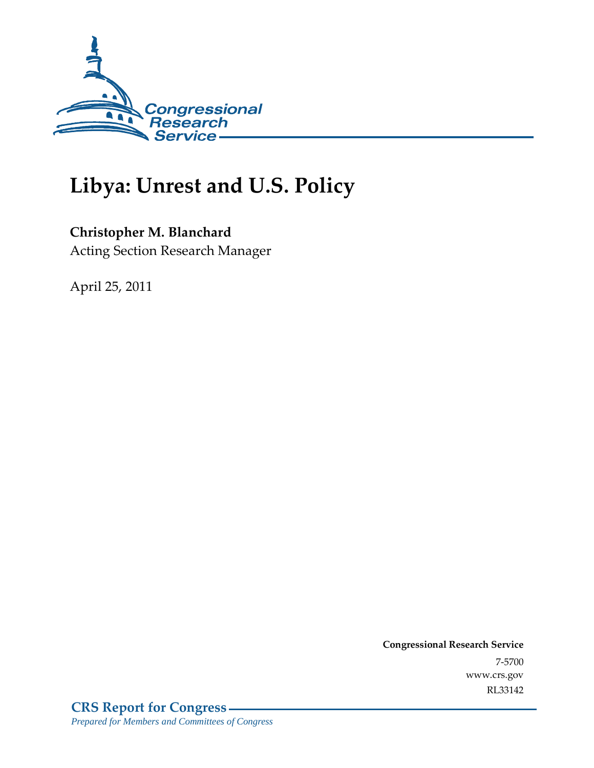

# **Libya: Unrest and U.S. Policy**

# **Christopher M. Blanchard**

Acting Section Research Manager

April 25, 2011

**Congressional Research Service** 7-5700 www.crs.gov RL33142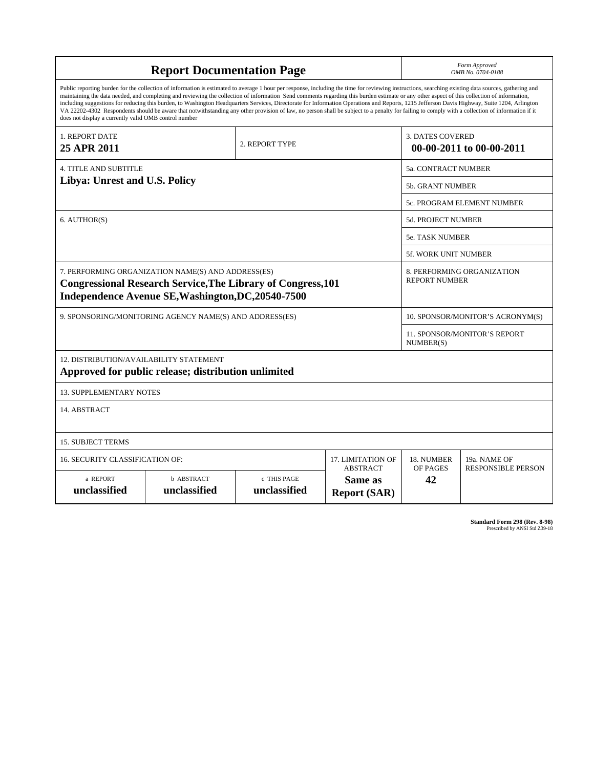| <b>Report Documentation Page</b>                                                                                                                                                                                                                                                                                                                                                                                                                                                                                                                                                                                                                                                                                                                                                                                                                                |                                   |                             |                                                   |                                                     | Form Approved<br>OMB No. 0704-0188                 |  |  |  |
|-----------------------------------------------------------------------------------------------------------------------------------------------------------------------------------------------------------------------------------------------------------------------------------------------------------------------------------------------------------------------------------------------------------------------------------------------------------------------------------------------------------------------------------------------------------------------------------------------------------------------------------------------------------------------------------------------------------------------------------------------------------------------------------------------------------------------------------------------------------------|-----------------------------------|-----------------------------|---------------------------------------------------|-----------------------------------------------------|----------------------------------------------------|--|--|--|
| Public reporting burden for the collection of information is estimated to average 1 hour per response, including the time for reviewing instructions, searching existing data sources, gathering and<br>maintaining the data needed, and completing and reviewing the collection of information Send comments regarding this burden estimate or any other aspect of this collection of information,<br>including suggestions for reducing this burden, to Washington Headquarters Services, Directorate for Information Operations and Reports, 1215 Jefferson Davis Highway, Suite 1204, Arlington<br>VA 22202-4302 Respondents should be aware that notwithstanding any other provision of law, no person shall be subject to a penalty for failing to comply with a collection of information if it<br>does not display a currently valid OMB control number |                                   |                             |                                                   |                                                     |                                                    |  |  |  |
| 1. REPORT DATE<br>25 APR 2011                                                                                                                                                                                                                                                                                                                                                                                                                                                                                                                                                                                                                                                                                                                                                                                                                                   |                                   | 2. REPORT TYPE              |                                                   | <b>3. DATES COVERED</b><br>00-00-2011 to 00-00-2011 |                                                    |  |  |  |
| <b>4. TITLE AND SUBTITLE</b>                                                                                                                                                                                                                                                                                                                                                                                                                                                                                                                                                                                                                                                                                                                                                                                                                                    |                                   |                             |                                                   |                                                     | 5a. CONTRACT NUMBER                                |  |  |  |
| Libya: Unrest and U.S. Policy                                                                                                                                                                                                                                                                                                                                                                                                                                                                                                                                                                                                                                                                                                                                                                                                                                   |                                   |                             |                                                   |                                                     | <b>5b. GRANT NUMBER</b>                            |  |  |  |
|                                                                                                                                                                                                                                                                                                                                                                                                                                                                                                                                                                                                                                                                                                                                                                                                                                                                 | 5c. PROGRAM ELEMENT NUMBER        |                             |                                                   |                                                     |                                                    |  |  |  |
| 6. AUTHOR(S)                                                                                                                                                                                                                                                                                                                                                                                                                                                                                                                                                                                                                                                                                                                                                                                                                                                    |                                   |                             |                                                   |                                                     | 5d. PROJECT NUMBER                                 |  |  |  |
|                                                                                                                                                                                                                                                                                                                                                                                                                                                                                                                                                                                                                                                                                                                                                                                                                                                                 |                                   |                             |                                                   |                                                     | <b>5e. TASK NUMBER</b>                             |  |  |  |
|                                                                                                                                                                                                                                                                                                                                                                                                                                                                                                                                                                                                                                                                                                                                                                                                                                                                 | <b>5f. WORK UNIT NUMBER</b>       |                             |                                                   |                                                     |                                                    |  |  |  |
| 7. PERFORMING ORGANIZATION NAME(S) AND ADDRESS(ES)<br><b>Congressional Research Service, The Library of Congress, 101</b><br>Independence Avenue SE, Washington, DC, 20540-7500                                                                                                                                                                                                                                                                                                                                                                                                                                                                                                                                                                                                                                                                                 |                                   |                             |                                                   |                                                     | 8. PERFORMING ORGANIZATION<br><b>REPORT NUMBER</b> |  |  |  |
| 9. SPONSORING/MONITORING AGENCY NAME(S) AND ADDRESS(ES)                                                                                                                                                                                                                                                                                                                                                                                                                                                                                                                                                                                                                                                                                                                                                                                                         |                                   |                             |                                                   |                                                     | 10. SPONSOR/MONITOR'S ACRONYM(S)                   |  |  |  |
|                                                                                                                                                                                                                                                                                                                                                                                                                                                                                                                                                                                                                                                                                                                                                                                                                                                                 |                                   |                             |                                                   |                                                     | 11. SPONSOR/MONITOR'S REPORT<br>NUMBER(S)          |  |  |  |
| 12. DISTRIBUTION/AVAILABILITY STATEMENT<br>Approved for public release; distribution unlimited                                                                                                                                                                                                                                                                                                                                                                                                                                                                                                                                                                                                                                                                                                                                                                  |                                   |                             |                                                   |                                                     |                                                    |  |  |  |
| <b>13. SUPPLEMENTARY NOTES</b>                                                                                                                                                                                                                                                                                                                                                                                                                                                                                                                                                                                                                                                                                                                                                                                                                                  |                                   |                             |                                                   |                                                     |                                                    |  |  |  |
| 14. ABSTRACT                                                                                                                                                                                                                                                                                                                                                                                                                                                                                                                                                                                                                                                                                                                                                                                                                                                    |                                   |                             |                                                   |                                                     |                                                    |  |  |  |
| <b>15. SUBJECT TERMS</b>                                                                                                                                                                                                                                                                                                                                                                                                                                                                                                                                                                                                                                                                                                                                                                                                                                        |                                   |                             |                                                   |                                                     |                                                    |  |  |  |
| <b>16. SECURITY CLASSIFICATION OF:</b>                                                                                                                                                                                                                                                                                                                                                                                                                                                                                                                                                                                                                                                                                                                                                                                                                          | 17. LIMITATION OF                 | 18. NUMBER                  | 19a. NAME OF                                      |                                                     |                                                    |  |  |  |
| a REPORT<br>unclassified                                                                                                                                                                                                                                                                                                                                                                                                                                                                                                                                                                                                                                                                                                                                                                                                                                        | <b>b ABSTRACT</b><br>unclassified | c THIS PAGE<br>unclassified | <b>ABSTRACT</b><br>Same as<br><b>Report (SAR)</b> | OF PAGES<br>42                                      | <b>RESPONSIBLE PERSON</b>                          |  |  |  |

**Standard Form 298 (Rev. 8-98)**<br>Prescribed by ANSI Std Z39-18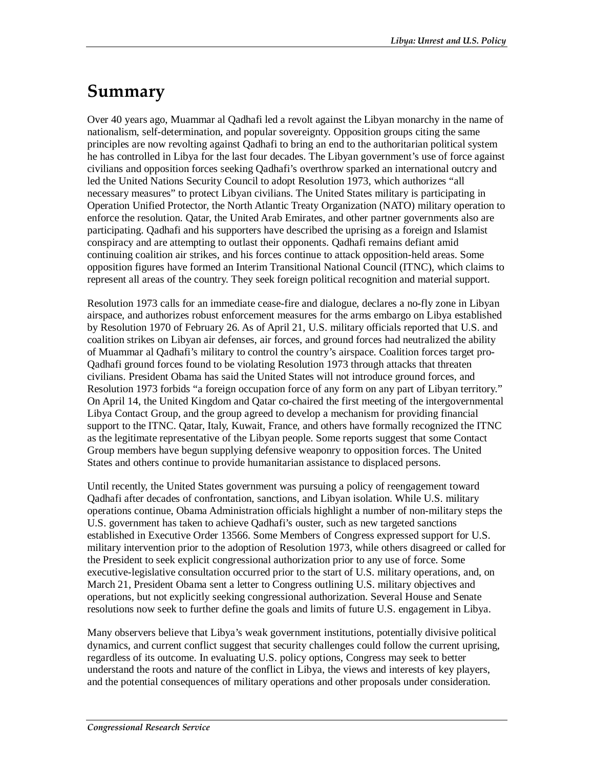# **Summary**

Over 40 years ago, Muammar al Qadhafi led a revolt against the Libyan monarchy in the name of nationalism, self-determination, and popular sovereignty. Opposition groups citing the same principles are now revolting against Qadhafi to bring an end to the authoritarian political system he has controlled in Libya for the last four decades. The Libyan government's use of force against civilians and opposition forces seeking Qadhafi's overthrow sparked an international outcry and led the United Nations Security Council to adopt Resolution 1973, which authorizes "all necessary measures" to protect Libyan civilians. The United States military is participating in Operation Unified Protector, the North Atlantic Treaty Organization (NATO) military operation to enforce the resolution. Qatar, the United Arab Emirates, and other partner governments also are participating. Qadhafi and his supporters have described the uprising as a foreign and Islamist conspiracy and are attempting to outlast their opponents. Qadhafi remains defiant amid continuing coalition air strikes, and his forces continue to attack opposition-held areas. Some opposition figures have formed an Interim Transitional National Council (ITNC), which claims to represent all areas of the country. They seek foreign political recognition and material support.

Resolution 1973 calls for an immediate cease-fire and dialogue, declares a no-fly zone in Libyan airspace, and authorizes robust enforcement measures for the arms embargo on Libya established by Resolution 1970 of February 26. As of April 21, U.S. military officials reported that U.S. and coalition strikes on Libyan air defenses, air forces, and ground forces had neutralized the ability of Muammar al Qadhafi's military to control the country's airspace. Coalition forces target pro-Qadhafi ground forces found to be violating Resolution 1973 through attacks that threaten civilians. President Obama has said the United States will not introduce ground forces, and Resolution 1973 forbids "a foreign occupation force of any form on any part of Libyan territory." On April 14, the United Kingdom and Qatar co-chaired the first meeting of the intergovernmental Libya Contact Group, and the group agreed to develop a mechanism for providing financial support to the ITNC. Qatar, Italy, Kuwait, France, and others have formally recognized the ITNC as the legitimate representative of the Libyan people. Some reports suggest that some Contact Group members have begun supplying defensive weaponry to opposition forces. The United States and others continue to provide humanitarian assistance to displaced persons.

Until recently, the United States government was pursuing a policy of reengagement toward Qadhafi after decades of confrontation, sanctions, and Libyan isolation. While U.S. military operations continue, Obama Administration officials highlight a number of non-military steps the U.S. government has taken to achieve Qadhafi's ouster, such as new targeted sanctions established in Executive Order 13566. Some Members of Congress expressed support for U.S. military intervention prior to the adoption of Resolution 1973, while others disagreed or called for the President to seek explicit congressional authorization prior to any use of force. Some executive-legislative consultation occurred prior to the start of U.S. military operations, and, on March 21, President Obama sent a letter to Congress outlining U.S. military objectives and operations, but not explicitly seeking congressional authorization. Several House and Senate resolutions now seek to further define the goals and limits of future U.S. engagement in Libya.

Many observers believe that Libya's weak government institutions, potentially divisive political dynamics, and current conflict suggest that security challenges could follow the current uprising, regardless of its outcome. In evaluating U.S. policy options, Congress may seek to better understand the roots and nature of the conflict in Libya, the views and interests of key players, and the potential consequences of military operations and other proposals under consideration.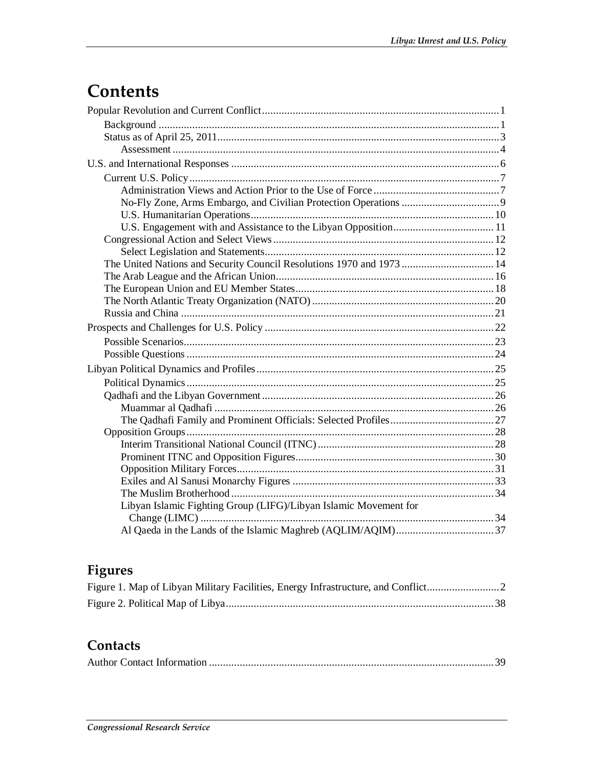# Contents

| The United Nations and Security Council Resolutions 1970 and 1973  14 |  |
|-----------------------------------------------------------------------|--|
|                                                                       |  |
|                                                                       |  |
|                                                                       |  |
|                                                                       |  |
|                                                                       |  |
|                                                                       |  |
|                                                                       |  |
|                                                                       |  |
|                                                                       |  |
|                                                                       |  |
|                                                                       |  |
|                                                                       |  |
|                                                                       |  |
|                                                                       |  |
|                                                                       |  |
|                                                                       |  |
|                                                                       |  |
|                                                                       |  |
| Libyan Islamic Fighting Group (LIFG)/Libyan Islamic Movement for      |  |
|                                                                       |  |
|                                                                       |  |

# Figures

## Contacts

|--|--|--|--|--|--|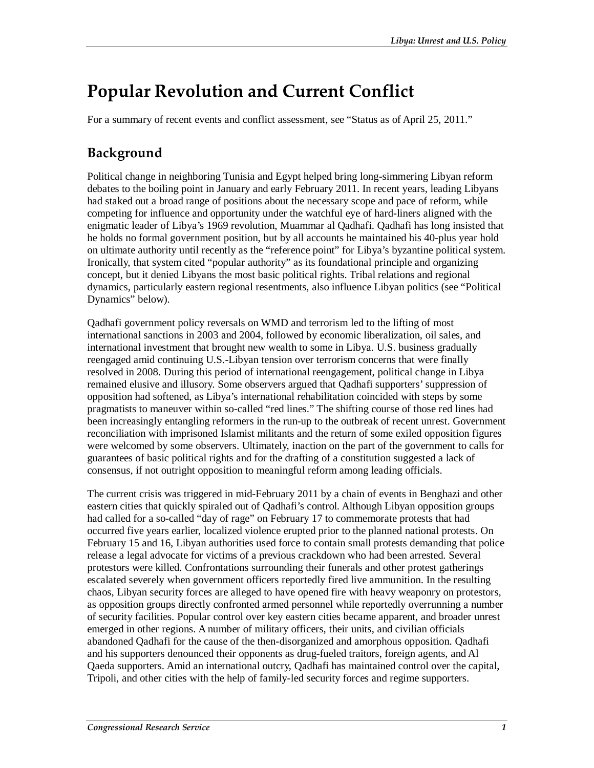# **Popular Revolution and Current Conflict**

For a summary of recent events and conflict assessment, see "Status as of April 25, 2011."

# **Background**

Political change in neighboring Tunisia and Egypt helped bring long-simmering Libyan reform debates to the boiling point in January and early February 2011. In recent years, leading Libyans had staked out a broad range of positions about the necessary scope and pace of reform, while competing for influence and opportunity under the watchful eye of hard-liners aligned with the enigmatic leader of Libya's 1969 revolution, Muammar al Qadhafi. Qadhafi has long insisted that he holds no formal government position, but by all accounts he maintained his 40-plus year hold on ultimate authority until recently as the "reference point" for Libya's byzantine political system. Ironically, that system cited "popular authority" as its foundational principle and organizing concept, but it denied Libyans the most basic political rights. Tribal relations and regional dynamics, particularly eastern regional resentments, also influence Libyan politics (see "Political Dynamics" below).

Qadhafi government policy reversals on WMD and terrorism led to the lifting of most international sanctions in 2003 and 2004, followed by economic liberalization, oil sales, and international investment that brought new wealth to some in Libya. U.S. business gradually reengaged amid continuing U.S.-Libyan tension over terrorism concerns that were finally resolved in 2008. During this period of international reengagement, political change in Libya remained elusive and illusory. Some observers argued that Qadhafi supporters' suppression of opposition had softened, as Libya's international rehabilitation coincided with steps by some pragmatists to maneuver within so-called "red lines." The shifting course of those red lines had been increasingly entangling reformers in the run-up to the outbreak of recent unrest. Government reconciliation with imprisoned Islamist militants and the return of some exiled opposition figures were welcomed by some observers. Ultimately, inaction on the part of the government to calls for guarantees of basic political rights and for the drafting of a constitution suggested a lack of consensus, if not outright opposition to meaningful reform among leading officials.

The current crisis was triggered in mid-February 2011 by a chain of events in Benghazi and other eastern cities that quickly spiraled out of Qadhafi's control. Although Libyan opposition groups had called for a so-called "day of rage" on February 17 to commemorate protests that had occurred five years earlier, localized violence erupted prior to the planned national protests. On February 15 and 16, Libyan authorities used force to contain small protests demanding that police release a legal advocate for victims of a previous crackdown who had been arrested. Several protestors were killed. Confrontations surrounding their funerals and other protest gatherings escalated severely when government officers reportedly fired live ammunition. In the resulting chaos, Libyan security forces are alleged to have opened fire with heavy weaponry on protestors, as opposition groups directly confronted armed personnel while reportedly overrunning a number of security facilities. Popular control over key eastern cities became apparent, and broader unrest emerged in other regions. A number of military officers, their units, and civilian officials abandoned Qadhafi for the cause of the then-disorganized and amorphous opposition. Qadhafi and his supporters denounced their opponents as drug-fueled traitors, foreign agents, and Al Qaeda supporters. Amid an international outcry, Qadhafi has maintained control over the capital, Tripoli, and other cities with the help of family-led security forces and regime supporters.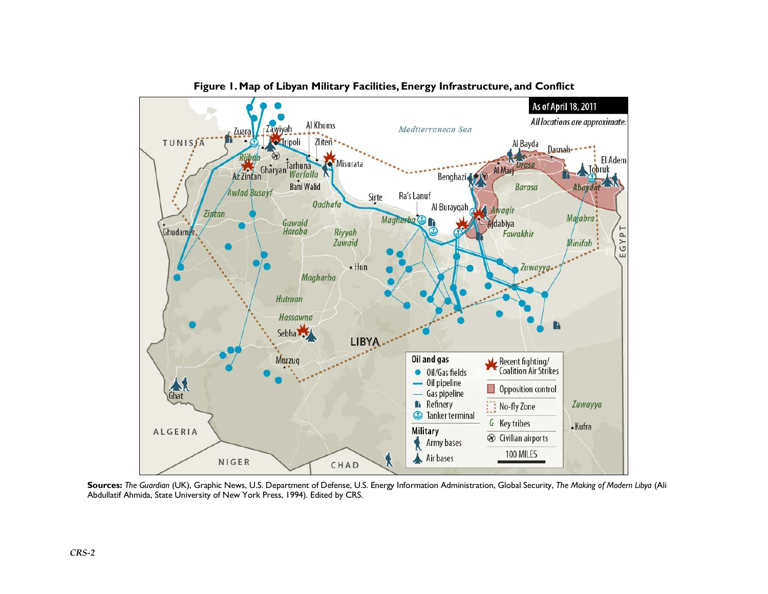

**Figure 1. Map of Libyan Military Facilities, Energy Infrastructure, and Conflict** 

**Sources:** *The Guardian* (UK), Graphic News, U.S. Department of Defense, U.S. Energy Information Administration, Global Security, *The Making of Modern Libya* (Ali Abdullatif Ahmida, State University of New York Press, 1994). Edited by CRS.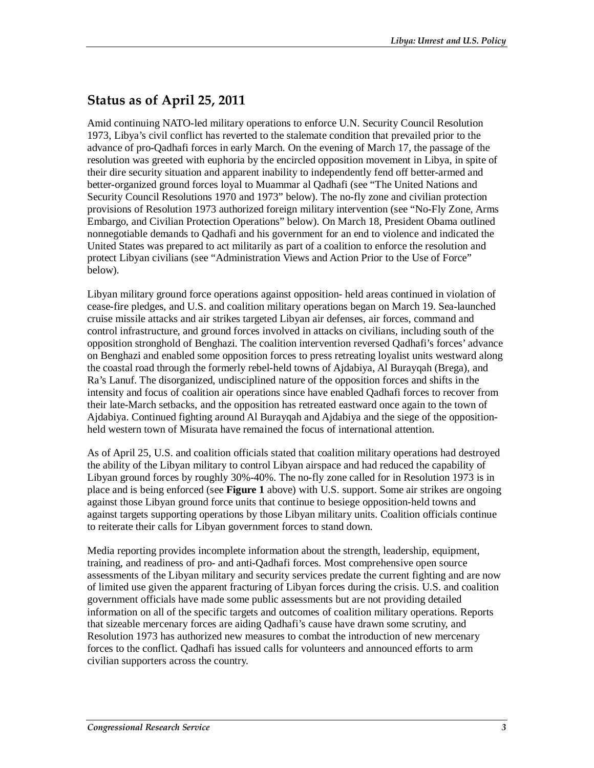# **Status as of April 25, 2011**

Amid continuing NATO-led military operations to enforce U.N. Security Council Resolution 1973, Libya's civil conflict has reverted to the stalemate condition that prevailed prior to the advance of pro-Qadhafi forces in early March. On the evening of March 17, the passage of the resolution was greeted with euphoria by the encircled opposition movement in Libya, in spite of their dire security situation and apparent inability to independently fend off better-armed and better-organized ground forces loyal to Muammar al Qadhafi (see "The United Nations and Security Council Resolutions 1970 and 1973" below). The no-fly zone and civilian protection provisions of Resolution 1973 authorized foreign military intervention (see "No-Fly Zone, Arms Embargo, and Civilian Protection Operations" below). On March 18, President Obama outlined nonnegotiable demands to Qadhafi and his government for an end to violence and indicated the United States was prepared to act militarily as part of a coalition to enforce the resolution and protect Libyan civilians (see "Administration Views and Action Prior to the Use of Force" below).

Libyan military ground force operations against opposition- held areas continued in violation of cease-fire pledges, and U.S. and coalition military operations began on March 19. Sea-launched cruise missile attacks and air strikes targeted Libyan air defenses, air forces, command and control infrastructure, and ground forces involved in attacks on civilians, including south of the opposition stronghold of Benghazi. The coalition intervention reversed Qadhafi's forces' advance on Benghazi and enabled some opposition forces to press retreating loyalist units westward along the coastal road through the formerly rebel-held towns of Ajdabiya, Al Burayqah (Brega), and Ra's Lanuf. The disorganized, undisciplined nature of the opposition forces and shifts in the intensity and focus of coalition air operations since have enabled Qadhafi forces to recover from their late-March setbacks, and the opposition has retreated eastward once again to the town of Ajdabiya. Continued fighting around Al Burayqah and Ajdabiya and the siege of the oppositionheld western town of Misurata have remained the focus of international attention.

As of April 25, U.S. and coalition officials stated that coalition military operations had destroyed the ability of the Libyan military to control Libyan airspace and had reduced the capability of Libyan ground forces by roughly 30%-40%. The no-fly zone called for in Resolution 1973 is in place and is being enforced (see **Figure 1** above) with U.S. support. Some air strikes are ongoing against those Libyan ground force units that continue to besiege opposition-held towns and against targets supporting operations by those Libyan military units. Coalition officials continue to reiterate their calls for Libyan government forces to stand down.

Media reporting provides incomplete information about the strength, leadership, equipment, training, and readiness of pro- and anti-Qadhafi forces. Most comprehensive open source assessments of the Libyan military and security services predate the current fighting and are now of limited use given the apparent fracturing of Libyan forces during the crisis. U.S. and coalition government officials have made some public assessments but are not providing detailed information on all of the specific targets and outcomes of coalition military operations. Reports that sizeable mercenary forces are aiding Qadhafi's cause have drawn some scrutiny, and Resolution 1973 has authorized new measures to combat the introduction of new mercenary forces to the conflict. Qadhafi has issued calls for volunteers and announced efforts to arm civilian supporters across the country.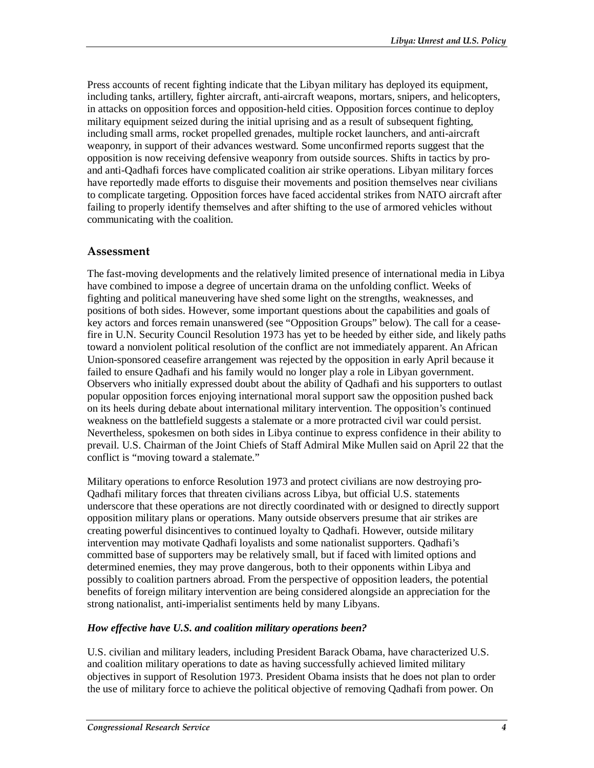Press accounts of recent fighting indicate that the Libyan military has deployed its equipment, including tanks, artillery, fighter aircraft, anti-aircraft weapons, mortars, snipers, and helicopters, in attacks on opposition forces and opposition-held cities. Opposition forces continue to deploy military equipment seized during the initial uprising and as a result of subsequent fighting, including small arms, rocket propelled grenades, multiple rocket launchers, and anti-aircraft weaponry, in support of their advances westward. Some unconfirmed reports suggest that the opposition is now receiving defensive weaponry from outside sources. Shifts in tactics by proand anti-Qadhafi forces have complicated coalition air strike operations. Libyan military forces have reportedly made efforts to disguise their movements and position themselves near civilians to complicate targeting. Opposition forces have faced accidental strikes from NATO aircraft after failing to properly identify themselves and after shifting to the use of armored vehicles without communicating with the coalition.

#### **Assessment**

The fast-moving developments and the relatively limited presence of international media in Libya have combined to impose a degree of uncertain drama on the unfolding conflict. Weeks of fighting and political maneuvering have shed some light on the strengths, weaknesses, and positions of both sides. However, some important questions about the capabilities and goals of key actors and forces remain unanswered (see "Opposition Groups" below). The call for a ceasefire in U.N. Security Council Resolution 1973 has yet to be heeded by either side, and likely paths toward a nonviolent political resolution of the conflict are not immediately apparent. An African Union-sponsored ceasefire arrangement was rejected by the opposition in early April because it failed to ensure Qadhafi and his family would no longer play a role in Libyan government. Observers who initially expressed doubt about the ability of Qadhafi and his supporters to outlast popular opposition forces enjoying international moral support saw the opposition pushed back on its heels during debate about international military intervention. The opposition's continued weakness on the battlefield suggests a stalemate or a more protracted civil war could persist. Nevertheless, spokesmen on both sides in Libya continue to express confidence in their ability to prevail. U.S. Chairman of the Joint Chiefs of Staff Admiral Mike Mullen said on April 22 that the conflict is "moving toward a stalemate."

Military operations to enforce Resolution 1973 and protect civilians are now destroying pro-Qadhafi military forces that threaten civilians across Libya, but official U.S. statements underscore that these operations are not directly coordinated with or designed to directly support opposition military plans or operations. Many outside observers presume that air strikes are creating powerful disincentives to continued loyalty to Qadhafi. However, outside military intervention may motivate Qadhafi loyalists and some nationalist supporters. Qadhafi's committed base of supporters may be relatively small, but if faced with limited options and determined enemies, they may prove dangerous, both to their opponents within Libya and possibly to coalition partners abroad. From the perspective of opposition leaders, the potential benefits of foreign military intervention are being considered alongside an appreciation for the strong nationalist, anti-imperialist sentiments held by many Libyans.

#### *How effective have U.S. and coalition military operations been?*

U.S. civilian and military leaders, including President Barack Obama, have characterized U.S. and coalition military operations to date as having successfully achieved limited military objectives in support of Resolution 1973. President Obama insists that he does not plan to order the use of military force to achieve the political objective of removing Qadhafi from power. On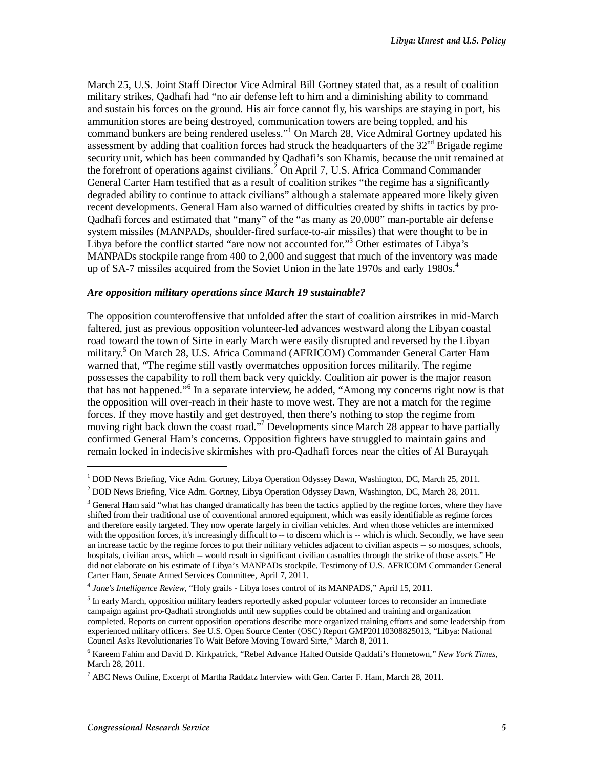March 25, U.S. Joint Staff Director Vice Admiral Bill Gortney stated that, as a result of coalition military strikes, Qadhafi had "no air defense left to him and a diminishing ability to command and sustain his forces on the ground. His air force cannot fly, his warships are staying in port, his ammunition stores are being destroyed, communication towers are being toppled, and his command bunkers are being rendered useless."<sup>1</sup> On March 28, Vice Admiral Gortney updated his assessment by adding that coalition forces had struck the headquarters of the  $32<sup>nd</sup>$  Brigade regime security unit, which has been commanded by Qadhafi's son Khamis, because the unit remained at the forefront of operations against civilians.<sup>2</sup> On April 7, U.S. Africa Command Commander General Carter Ham testified that as a result of coalition strikes "the regime has a significantly degraded ability to continue to attack civilians" although a stalemate appeared more likely given recent developments. General Ham also warned of difficulties created by shifts in tactics by pro-Qadhafi forces and estimated that "many" of the "as many as 20,000" man-portable air defense system missiles (MANPADs, shoulder-fired surface-to-air missiles) that were thought to be in Libya before the conflict started "are now not accounted for."<sup>3</sup> Other estimates of Libya's MANPADs stockpile range from 400 to 2,000 and suggest that much of the inventory was made up of SA-7 missiles acquired from the Soviet Union in the late 1970s and early 1980s.<sup>4</sup>

#### *Are opposition military operations since March 19 sustainable?*

The opposition counteroffensive that unfolded after the start of coalition airstrikes in mid-March faltered, just as previous opposition volunteer-led advances westward along the Libyan coastal road toward the town of Sirte in early March were easily disrupted and reversed by the Libyan military.<sup>5</sup> On March 28, U.S. Africa Command (AFRICOM) Commander General Carter Ham warned that, "The regime still vastly overmatches opposition forces militarily. The regime possesses the capability to roll them back very quickly. Coalition air power is the major reason that has not happened."<sup>6</sup> In a separate interview, he added, "Among my concerns right now is that the opposition will over-reach in their haste to move west. They are not a match for the regime forces. If they move hastily and get destroyed, then there's nothing to stop the regime from moving right back down the coast road."<sup>7</sup> Developments since March 28 appear to have partially confirmed General Ham's concerns. Opposition fighters have struggled to maintain gains and remain locked in indecisive skirmishes with pro-Qadhafi forces near the cities of Al Burayqah

<sup>&</sup>lt;sup>1</sup> DOD News Briefing, Vice Adm. Gortney, Libya Operation Odyssey Dawn, Washington, DC, March 25, 2011.<br><sup>2</sup> DOD News Priefing, Vice Adm. Gortney, Libya Operation Odyssey Dawn, Washington, DC, March 28, 2011.

 $<sup>2</sup>$  DOD News Briefing, Vice Adm. Gortney, Libya Operation Odyssey Dawn, Washington, DC, March 28, 2011.</sup>

<sup>&</sup>lt;sup>3</sup> General Ham said "what has changed dramatically has been the tactics applied by the regime forces, where they have shifted from their traditional use of conventional armored equipment, which was easily identifiable as regime forces and therefore easily targeted. They now operate largely in civilian vehicles. And when those vehicles are intermixed with the opposition forces, it's increasingly difficult to -- to discern which is -- which is which. Secondly, we have seen an increase tactic by the regime forces to put their military vehicles adjacent to civilian aspects -- so mosques, schools, hospitals, civilian areas, which -- would result in significant civilian casualties through the strike of those assets." He did not elaborate on his estimate of Libya's MANPADs stockpile. Testimony of U.S. AFRICOM Commander General Carter Ham, Senate Armed Services Committee, April 7, 2011.

<sup>4</sup> *Jane's Intelligence Review*, "Holy grails - Libya loses control of its MANPADS," April 15, 2011.

<sup>&</sup>lt;sup>5</sup> In early March, opposition military leaders reportedly asked popular volunteer forces to reconsider an immediate campaign against pro-Qadhafi strongholds until new supplies could be obtained and training and organization completed. Reports on current opposition operations describe more organized training efforts and some leadership from experienced military officers. See U.S. Open Source Center (OSC) Report GMP20110308825013, "Libya: National Council Asks Revolutionaries To Wait Before Moving Toward Sirte," March 8, 2011.

<sup>6</sup> Kareem Fahim and David D. Kirkpatrick, "Rebel Advance Halted Outside Qaddafi's Hometown," *New York Times*, March 28, 2011.

 $^7$  ABC News Online, Excerpt of Martha Raddatz Interview with Gen. Carter F. Ham, March 28, 2011.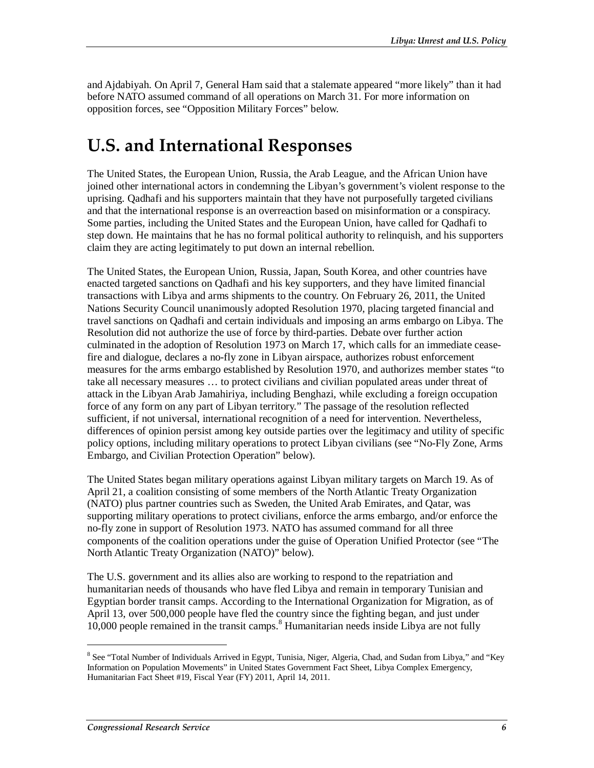and Ajdabiyah. On April 7, General Ham said that a stalemate appeared "more likely" than it had before NATO assumed command of all operations on March 31. For more information on opposition forces, see "Opposition Military Forces" below.

# **U.S. and International Responses**

The United States, the European Union, Russia, the Arab League, and the African Union have joined other international actors in condemning the Libyan's government's violent response to the uprising. Qadhafi and his supporters maintain that they have not purposefully targeted civilians and that the international response is an overreaction based on misinformation or a conspiracy. Some parties, including the United States and the European Union, have called for Qadhafi to step down. He maintains that he has no formal political authority to relinquish, and his supporters claim they are acting legitimately to put down an internal rebellion.

The United States, the European Union, Russia, Japan, South Korea, and other countries have enacted targeted sanctions on Qadhafi and his key supporters, and they have limited financial transactions with Libya and arms shipments to the country. On February 26, 2011, the United Nations Security Council unanimously adopted Resolution 1970, placing targeted financial and travel sanctions on Qadhafi and certain individuals and imposing an arms embargo on Libya. The Resolution did not authorize the use of force by third-parties. Debate over further action culminated in the adoption of Resolution 1973 on March 17, which calls for an immediate ceasefire and dialogue, declares a no-fly zone in Libyan airspace, authorizes robust enforcement measures for the arms embargo established by Resolution 1970, and authorizes member states "to take all necessary measures … to protect civilians and civilian populated areas under threat of attack in the Libyan Arab Jamahiriya, including Benghazi, while excluding a foreign occupation force of any form on any part of Libyan territory." The passage of the resolution reflected sufficient, if not universal, international recognition of a need for intervention. Nevertheless, differences of opinion persist among key outside parties over the legitimacy and utility of specific policy options, including military operations to protect Libyan civilians (see "No-Fly Zone, Arms Embargo, and Civilian Protection Operation" below).

The United States began military operations against Libyan military targets on March 19. As of April 21, a coalition consisting of some members of the North Atlantic Treaty Organization (NATO) plus partner countries such as Sweden, the United Arab Emirates, and Qatar, was supporting military operations to protect civilians, enforce the arms embargo, and/or enforce the no-fly zone in support of Resolution 1973. NATO has assumed command for all three components of the coalition operations under the guise of Operation Unified Protector (see "The North Atlantic Treaty Organization (NATO)" below).

The U.S. government and its allies also are working to respond to the repatriation and humanitarian needs of thousands who have fled Libya and remain in temporary Tunisian and Egyptian border transit camps. According to the International Organization for Migration, as of April 13, over 500,000 people have fled the country since the fighting began, and just under 10,000 people remained in the transit camps.<sup>8</sup> Humanitarian needs inside Libya are not fully

<sup>&</sup>lt;sup>8</sup> See "Total Number of Individuals Arrived in Egypt, Tunisia, Niger, Algeria, Chad, and Sudan from Libya," and "Key Information on Population Movements" in United States Government Fact Sheet, Libya Complex Emergency, Humanitarian Fact Sheet #19, Fiscal Year (FY) 2011, April 14, 2011.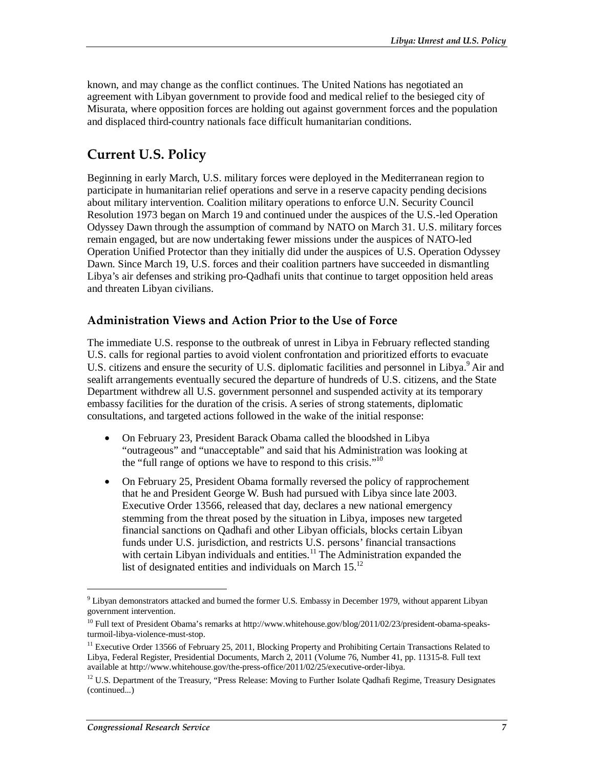known, and may change as the conflict continues. The United Nations has negotiated an agreement with Libyan government to provide food and medical relief to the besieged city of Misurata, where opposition forces are holding out against government forces and the population and displaced third-country nationals face difficult humanitarian conditions.

## **Current U.S. Policy**

Beginning in early March, U.S. military forces were deployed in the Mediterranean region to participate in humanitarian relief operations and serve in a reserve capacity pending decisions about military intervention. Coalition military operations to enforce U.N. Security Council Resolution 1973 began on March 19 and continued under the auspices of the U.S.-led Operation Odyssey Dawn through the assumption of command by NATO on March 31. U.S. military forces remain engaged, but are now undertaking fewer missions under the auspices of NATO-led Operation Unified Protector than they initially did under the auspices of U.S. Operation Odyssey Dawn. Since March 19, U.S. forces and their coalition partners have succeeded in dismantling Libya's air defenses and striking pro-Qadhafi units that continue to target opposition held areas and threaten Libyan civilians.

### **Administration Views and Action Prior to the Use of Force**

The immediate U.S. response to the outbreak of unrest in Libya in February reflected standing U.S. calls for regional parties to avoid violent confrontation and prioritized efforts to evacuate U.S. citizens and ensure the security of U.S. diplomatic facilities and personnel in Libya.<sup>9</sup> Air and sealift arrangements eventually secured the departure of hundreds of U.S. citizens, and the State Department withdrew all U.S. government personnel and suspended activity at its temporary embassy facilities for the duration of the crisis. A series of strong statements, diplomatic consultations, and targeted actions followed in the wake of the initial response:

- On February 23, President Barack Obama called the bloodshed in Libya "outrageous" and "unacceptable" and said that his Administration was looking at the "full range of options we have to respond to this crisis."<sup>10</sup>
- On February 25, President Obama formally reversed the policy of rapprochement that he and President George W. Bush had pursued with Libya since late 2003. Executive Order 13566, released that day, declares a new national emergency stemming from the threat posed by the situation in Libya, imposes new targeted financial sanctions on Qadhafi and other Libyan officials, blocks certain Libyan funds under U.S. jurisdiction, and restricts U.S. persons' financial transactions with certain Libyan individuals and entities.<sup>11</sup> The Administration expanded the list of designated entities and individuals on March  $15^{12}$

<sup>&</sup>lt;sup>9</sup> Libyan demonstrators attacked and burned the former U.S. Embassy in December 1979, without apparent Libyan government intervention.

<sup>&</sup>lt;sup>10</sup> Full text of President Obama's remarks at http://www.whitehouse.gov/blog/2011/02/23/president-obama-speaksturmoil-libya-violence-must-stop.

<sup>&</sup>lt;sup>11</sup> Executive Order 13566 of February 25, 2011, Blocking Property and Prohibiting Certain Transactions Related to Libya, Federal Register, Presidential Documents, March 2, 2011 (Volume 76, Number 41, pp. 11315-8. Full text available at http://www.whitehouse.gov/the-press-office/2011/02/25/executive-order-libya.

 $12$  U.S. Department of the Treasury, "Press Release: Moving to Further Isolate Qadhafi Regime, Treasury Designates (continued...)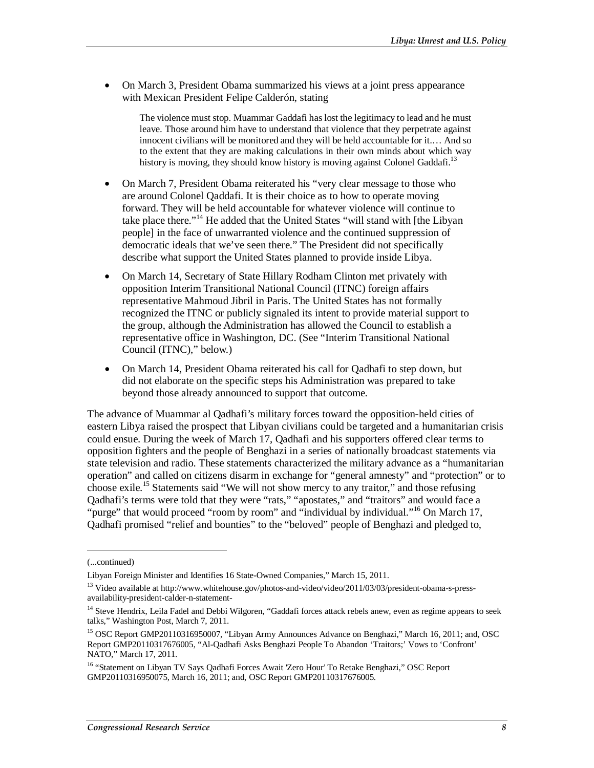• On March 3, President Obama summarized his views at a joint press appearance with Mexican President Felipe Calderón, stating

The violence must stop. Muammar Gaddafi has lost the legitimacy to lead and he must leave. Those around him have to understand that violence that they perpetrate against innocent civilians will be monitored and they will be held accountable for it.… And so to the extent that they are making calculations in their own minds about which way history is moving, they should know history is moving against Colonel Gaddafi.<sup>13</sup>

- On March 7, President Obama reiterated his "very clear message to those who are around Colonel Qaddafi. It is their choice as to how to operate moving forward. They will be held accountable for whatever violence will continue to take place there."14 He added that the United States "will stand with [the Libyan people] in the face of unwarranted violence and the continued suppression of democratic ideals that we've seen there." The President did not specifically describe what support the United States planned to provide inside Libya.
- On March 14, Secretary of State Hillary Rodham Clinton met privately with opposition Interim Transitional National Council (ITNC) foreign affairs representative Mahmoud Jibril in Paris. The United States has not formally recognized the ITNC or publicly signaled its intent to provide material support to the group, although the Administration has allowed the Council to establish a representative office in Washington, DC. (See "Interim Transitional National Council (ITNC)," below.)
- On March 14, President Obama reiterated his call for Qadhafi to step down, but did not elaborate on the specific steps his Administration was prepared to take beyond those already announced to support that outcome.

The advance of Muammar al Qadhafi's military forces toward the opposition-held cities of eastern Libya raised the prospect that Libyan civilians could be targeted and a humanitarian crisis could ensue. During the week of March 17, Qadhafi and his supporters offered clear terms to opposition fighters and the people of Benghazi in a series of nationally broadcast statements via state television and radio. These statements characterized the military advance as a "humanitarian operation" and called on citizens disarm in exchange for "general amnesty" and "protection" or to choose exile.15 Statements said "We will not show mercy to any traitor," and those refusing Qadhafi's terms were told that they were "rats," "apostates," and "traitors" and would face a "purge" that would proceed "room by room" and "individual by individual."<sup>16</sup> On March 17, Qadhafi promised "relief and bounties" to the "beloved" people of Benghazi and pledged to,

<sup>(...</sup>continued)

Libyan Foreign Minister and Identifies 16 State-Owned Companies," March 15, 2011.

<sup>&</sup>lt;sup>13</sup> Video available at http://www.whitehouse.gov/photos-and-video/video/2011/03/03/president-obama-s-pressavailability-president-calder-n-statement-

<sup>&</sup>lt;sup>14</sup> Steve Hendrix, Leila Fadel and Debbi Wilgoren, "Gaddafi forces attack rebels anew, even as regime appears to seek talks," Washington Post, March 7, 2011.

<sup>&</sup>lt;sup>15</sup> OSC Report GMP20110316950007, "Libyan Army Announces Advance on Benghazi," March 16, 2011; and, OSC Report GMP20110317676005, "Al-Qadhafi Asks Benghazi People To Abandon 'Traitors;' Vows to 'Confront' NATO," March 17, 2011.

<sup>&</sup>lt;sup>16</sup> "Statement on Libyan TV Says Qadhafi Forces Await 'Zero Hour' To Retake Benghazi," OSC Report GMP20110316950075, March 16, 2011; and, OSC Report GMP20110317676005.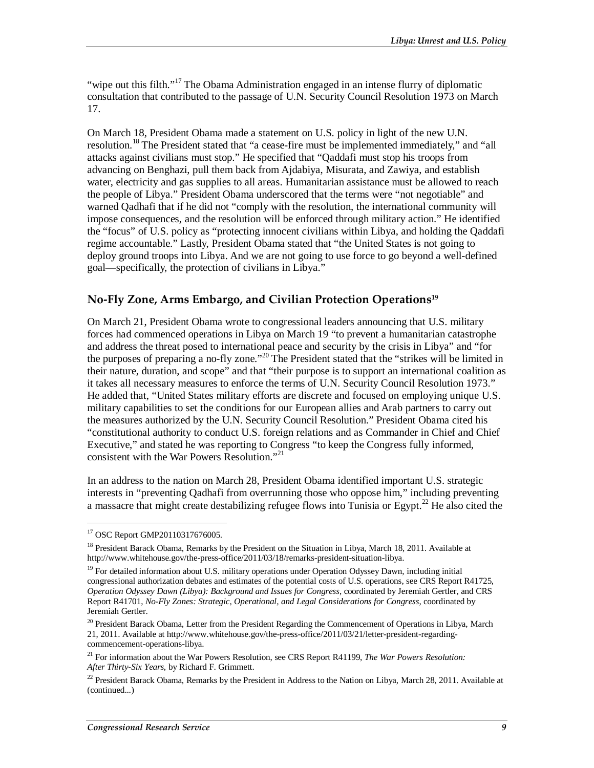"wipe out this filth."<sup>17</sup> The Obama Administration engaged in an intense flurry of diplomatic consultation that contributed to the passage of U.N. Security Council Resolution 1973 on March 17.

On March 18, President Obama made a statement on U.S. policy in light of the new U.N. resolution.<sup>18</sup> The President stated that "a cease-fire must be implemented immediately," and "all attacks against civilians must stop." He specified that "Qaddafi must stop his troops from advancing on Benghazi, pull them back from Ajdabiya, Misurata, and Zawiya, and establish water, electricity and gas supplies to all areas. Humanitarian assistance must be allowed to reach the people of Libya." President Obama underscored that the terms were "not negotiable" and warned Qadhafi that if he did not "comply with the resolution, the international community will impose consequences, and the resolution will be enforced through military action." He identified the "focus" of U.S. policy as "protecting innocent civilians within Libya, and holding the Qaddafi regime accountable." Lastly, President Obama stated that "the United States is not going to deploy ground troops into Libya. And we are not going to use force to go beyond a well-defined goal—specifically, the protection of civilians in Libya."

#### **No-Fly Zone, Arms Embargo, and Civilian Protection Operations19**

On March 21, President Obama wrote to congressional leaders announcing that U.S. military forces had commenced operations in Libya on March 19 "to prevent a humanitarian catastrophe and address the threat posed to international peace and security by the crisis in Libya" and "for the purposes of preparing a no-fly zone."20 The President stated that the "strikes will be limited in their nature, duration, and scope" and that "their purpose is to support an international coalition as it takes all necessary measures to enforce the terms of U.N. Security Council Resolution 1973." He added that, "United States military efforts are discrete and focused on employing unique U.S. military capabilities to set the conditions for our European allies and Arab partners to carry out the measures authorized by the U.N. Security Council Resolution." President Obama cited his "constitutional authority to conduct U.S. foreign relations and as Commander in Chief and Chief Executive," and stated he was reporting to Congress "to keep the Congress fully informed, consistent with the War Powers Resolution."<sup>21</sup>

In an address to the nation on March 28, President Obama identified important U.S. strategic interests in "preventing Qadhafi from overrunning those who oppose him," including preventing a massacre that might create destabilizing refugee flows into Tunisia or Egypt.<sup>22</sup> He also cited the

<sup>17</sup> OSC Report GMP20110317676005.

<sup>&</sup>lt;sup>18</sup> President Barack Obama, Remarks by the President on the Situation in Libya, March 18, 2011. Available at http://www.whitehouse.gov/the-press-office/2011/03/18/remarks-president-situation-libya.

 $19$  For detailed information about U.S. military operations under Operation Odyssey Dawn, including initial congressional authorization debates and estimates of the potential costs of U.S. operations, see CRS Report R41725, *Operation Odyssey Dawn (Libya): Background and Issues for Congress*, coordinated by Jeremiah Gertler, and CRS Report R41701, *No-Fly Zones: Strategic, Operational, and Legal Considerations for Congress*, coordinated by Jeremiah Gertler.

<sup>&</sup>lt;sup>20</sup> President Barack Obama, Letter from the President Regarding the Commencement of Operations in Libya, March 21, 2011. Available at http://www.whitehouse.gov/the-press-office/2011/03/21/letter-president-regardingcommencement-operations-libya.

<sup>21</sup> For information about the War Powers Resolution, see CRS Report R41199, *The War Powers Resolution: After Thirty-Six Years*, by Richard F. Grimmett.

 $^{22}$  President Barack Obama, Remarks by the President in Address to the Nation on Libya, March 28, 2011. Available at (continued...)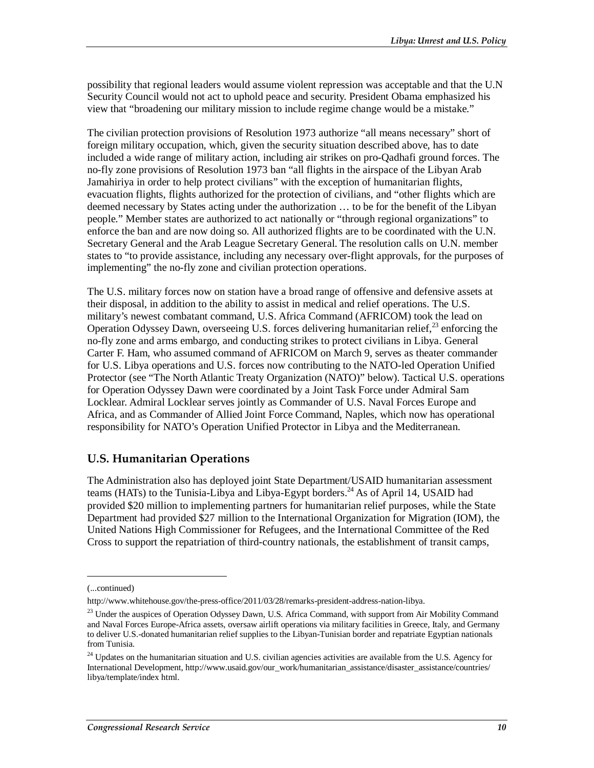possibility that regional leaders would assume violent repression was acceptable and that the U.N Security Council would not act to uphold peace and security. President Obama emphasized his view that "broadening our military mission to include regime change would be a mistake."

The civilian protection provisions of Resolution 1973 authorize "all means necessary" short of foreign military occupation, which, given the security situation described above, has to date included a wide range of military action, including air strikes on pro-Qadhafi ground forces. The no-fly zone provisions of Resolution 1973 ban "all flights in the airspace of the Libyan Arab Jamahiriya in order to help protect civilians" with the exception of humanitarian flights, evacuation flights, flights authorized for the protection of civilians, and "other flights which are deemed necessary by States acting under the authorization … to be for the benefit of the Libyan people." Member states are authorized to act nationally or "through regional organizations" to enforce the ban and are now doing so. All authorized flights are to be coordinated with the U.N. Secretary General and the Arab League Secretary General. The resolution calls on U.N. member states to "to provide assistance, including any necessary over-flight approvals, for the purposes of implementing" the no-fly zone and civilian protection operations.

The U.S. military forces now on station have a broad range of offensive and defensive assets at their disposal, in addition to the ability to assist in medical and relief operations. The U.S. military's newest combatant command, U.S. Africa Command (AFRICOM) took the lead on Operation Odyssey Dawn, overseeing U.S. forces delivering humanitarian relief,<sup>23</sup> enforcing the no-fly zone and arms embargo, and conducting strikes to protect civilians in Libya. General Carter F. Ham, who assumed command of AFRICOM on March 9, serves as theater commander for U.S. Libya operations and U.S. forces now contributing to the NATO-led Operation Unified Protector (see "The North Atlantic Treaty Organization (NATO)" below). Tactical U.S. operations for Operation Odyssey Dawn were coordinated by a Joint Task Force under Admiral Sam Locklear. Admiral Locklear serves jointly as Commander of U.S. Naval Forces Europe and Africa, and as Commander of Allied Joint Force Command, Naples, which now has operational responsibility for NATO's Operation Unified Protector in Libya and the Mediterranean.

### **U.S. Humanitarian Operations**

The Administration also has deployed joint State Department/USAID humanitarian assessment teams (HATs) to the Tunisia-Libya and Libya-Egypt borders.<sup>24</sup> As of April 14, USAID had provided \$20 million to implementing partners for humanitarian relief purposes, while the State Department had provided \$27 million to the International Organization for Migration (IOM), the United Nations High Commissioner for Refugees, and the International Committee of the Red Cross to support the repatriation of third-country nationals, the establishment of transit camps,

<sup>(...</sup>continued)

http://www.whitehouse.gov/the-press-office/2011/03/28/remarks-president-address-nation-libya.

<sup>&</sup>lt;sup>23</sup> Under the auspices of Operation Odyssey Dawn, U.S. Africa Command, with support from Air Mobility Command and Naval Forces Europe-Africa assets, oversaw airlift operations via military facilities in Greece, Italy, and Germany to deliver U.S.-donated humanitarian relief supplies to the Libyan-Tunisian border and repatriate Egyptian nationals from Tunisia.

<sup>&</sup>lt;sup>24</sup> Updates on the humanitarian situation and U.S. civilian agencies activities are available from the U.S. Agency for International Development, http://www.usaid.gov/our\_work/humanitarian\_assistance/disaster\_assistance/countries/ libya/template/index html.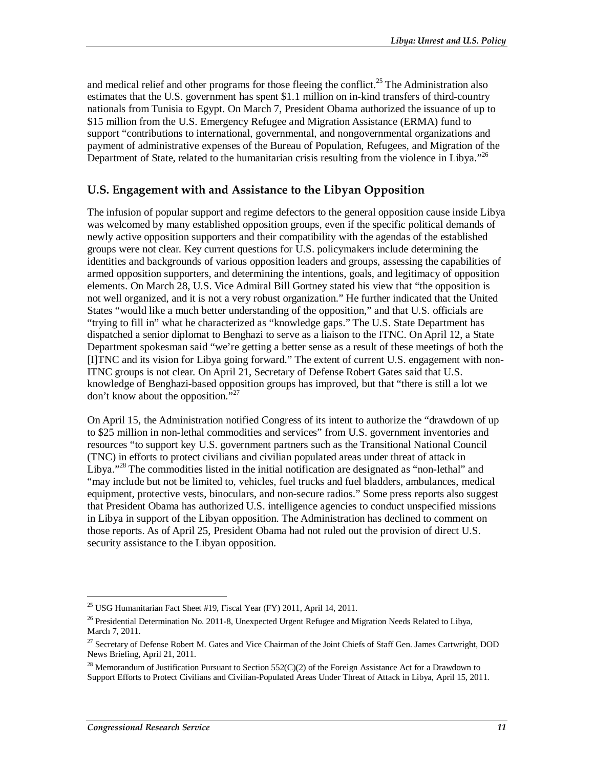and medical relief and other programs for those fleeing the conflict.<sup>25</sup> The Administration also estimates that the U.S. government has spent \$1.1 million on in-kind transfers of third-country nationals from Tunisia to Egypt. On March 7, President Obama authorized the issuance of up to \$15 million from the U.S. Emergency Refugee and Migration Assistance (ERMA) fund to support "contributions to international, governmental, and nongovernmental organizations and payment of administrative expenses of the Bureau of Population, Refugees, and Migration of the Department of State, related to the humanitarian crisis resulting from the violence in Libya."<sup>26</sup>

### **U.S. Engagement with and Assistance to the Libyan Opposition**

The infusion of popular support and regime defectors to the general opposition cause inside Libya was welcomed by many established opposition groups, even if the specific political demands of newly active opposition supporters and their compatibility with the agendas of the established groups were not clear. Key current questions for U.S. policymakers include determining the identities and backgrounds of various opposition leaders and groups, assessing the capabilities of armed opposition supporters, and determining the intentions, goals, and legitimacy of opposition elements. On March 28, U.S. Vice Admiral Bill Gortney stated his view that "the opposition is not well organized, and it is not a very robust organization." He further indicated that the United States "would like a much better understanding of the opposition," and that U.S. officials are "trying to fill in" what he characterized as "knowledge gaps." The U.S. State Department has dispatched a senior diplomat to Benghazi to serve as a liaison to the ITNC. On April 12, a State Department spokesman said "we're getting a better sense as a result of these meetings of both the [I]TNC and its vision for Libya going forward." The extent of current U.S. engagement with non-ITNC groups is not clear. On April 21, Secretary of Defense Robert Gates said that U.S. knowledge of Benghazi-based opposition groups has improved, but that "there is still a lot we don't know about the opposition."27

On April 15, the Administration notified Congress of its intent to authorize the "drawdown of up to \$25 million in non-lethal commodities and services" from U.S. government inventories and resources "to support key U.S. government partners such as the Transitional National Council (TNC) in efforts to protect civilians and civilian populated areas under threat of attack in Libya."<sup>28</sup> The commodities listed in the initial notification are designated as "non-lethal" and "may include but not be limited to, vehicles, fuel trucks and fuel bladders, ambulances, medical equipment, protective vests, binoculars, and non-secure radios." Some press reports also suggest that President Obama has authorized U.S. intelligence agencies to conduct unspecified missions in Libya in support of the Libyan opposition. The Administration has declined to comment on those reports. As of April 25, President Obama had not ruled out the provision of direct U.S. security assistance to the Libyan opposition.

<sup>&</sup>lt;sup>25</sup> USG Humanitarian Fact Sheet #19, Fiscal Year (FY) 2011, April 14, 2011.

 $^{26}$  Presidential Determination No. 2011-8, Unexpected Urgent Refugee and Migration Needs Related to Libya, March 7, 2011.

<sup>&</sup>lt;sup>27</sup> Secretary of Defense Robert M. Gates and Vice Chairman of the Joint Chiefs of Staff Gen. James Cartwright, DOD News Briefing, April 21, 2011.

 $^{28}$  Memorandum of Justification Pursuant to Section 552(C)(2) of the Foreign Assistance Act for a Drawdown to Support Efforts to Protect Civilians and Civilian-Populated Areas Under Threat of Attack in Libya, April 15, 2011.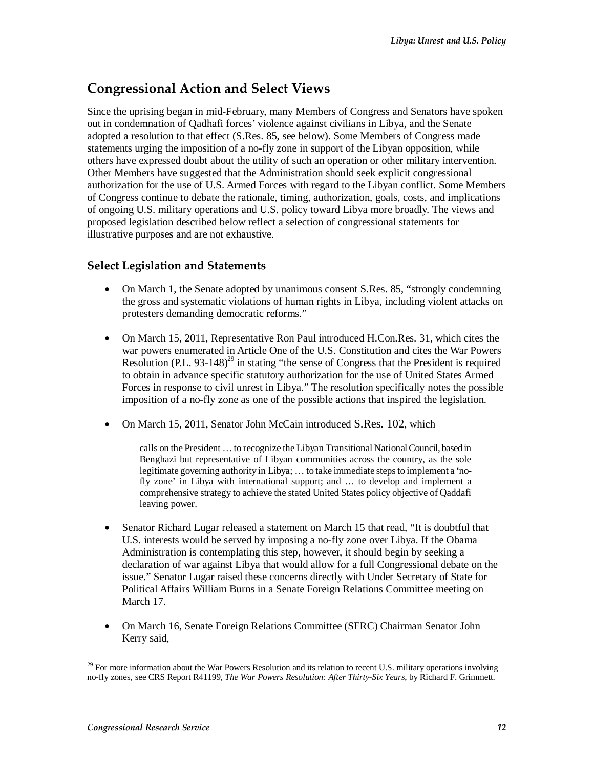## **Congressional Action and Select Views**

Since the uprising began in mid-February, many Members of Congress and Senators have spoken out in condemnation of Qadhafi forces' violence against civilians in Libya, and the Senate adopted a resolution to that effect (S.Res. 85, see below). Some Members of Congress made statements urging the imposition of a no-fly zone in support of the Libyan opposition, while others have expressed doubt about the utility of such an operation or other military intervention. Other Members have suggested that the Administration should seek explicit congressional authorization for the use of U.S. Armed Forces with regard to the Libyan conflict. Some Members of Congress continue to debate the rationale, timing, authorization, goals, costs, and implications of ongoing U.S. military operations and U.S. policy toward Libya more broadly. The views and proposed legislation described below reflect a selection of congressional statements for illustrative purposes and are not exhaustive.

#### **Select Legislation and Statements**

- On March 1, the Senate adopted by unanimous consent S.Res. 85, "strongly condemning the gross and systematic violations of human rights in Libya, including violent attacks on protesters demanding democratic reforms."
- On March 15, 2011, Representative Ron Paul introduced H.Con.Res. 31, which cites the war powers enumerated in Article One of the U.S. Constitution and cites the War Powers Resolution (P.L. 93-148)<sup>29</sup> in stating "the sense of Congress that the President is required to obtain in advance specific statutory authorization for the use of United States Armed Forces in response to civil unrest in Libya." The resolution specifically notes the possible imposition of a no-fly zone as one of the possible actions that inspired the legislation.
- On March 15, 2011, Senator John McCain introduced S.Res. 102, which

calls on the President … to recognize the Libyan Transitional National Council, based in Benghazi but representative of Libyan communities across the country, as the sole legitimate governing authority in Libya; … to take immediate steps to implement a 'nofly zone' in Libya with international support; and … to develop and implement a comprehensive strategy to achieve the stated United States policy objective of Qaddafi leaving power.

- Senator Richard Lugar released a statement on March 15 that read, "It is doubtful that U.S. interests would be served by imposing a no-fly zone over Libya. If the Obama Administration is contemplating this step, however, it should begin by seeking a declaration of war against Libya that would allow for a full Congressional debate on the issue." Senator Lugar raised these concerns directly with Under Secretary of State for Political Affairs William Burns in a Senate Foreign Relations Committee meeting on March 17.
- On March 16, Senate Foreign Relations Committee (SFRC) Chairman Senator John Kerry said,

 $29$  For more information about the War Powers Resolution and its relation to recent U.S. military operations involving no-fly zones, see CRS Report R41199, *The War Powers Resolution: After Thirty-Six Years*, by Richard F. Grimmett.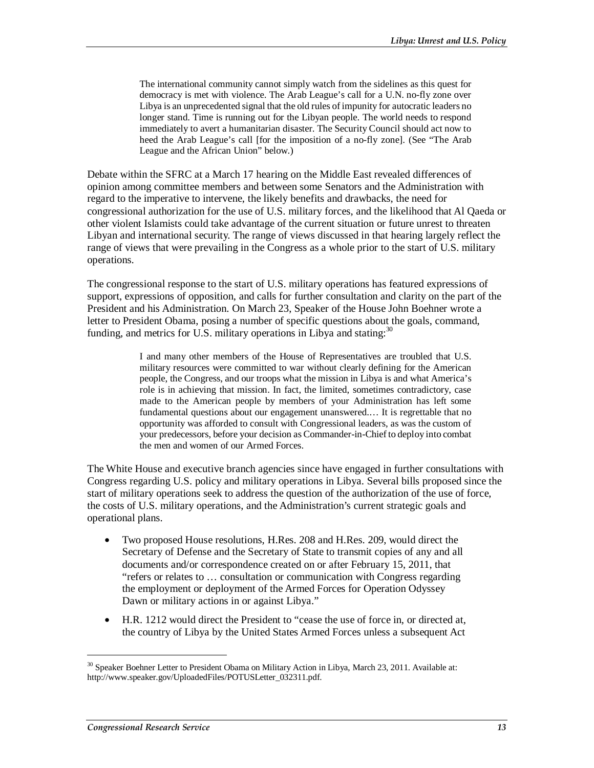The international community cannot simply watch from the sidelines as this quest for democracy is met with violence. The Arab League's call for a U.N. no-fly zone over Libya is an unprecedented signal that the old rules of impunity for autocratic leaders no longer stand. Time is running out for the Libyan people. The world needs to respond immediately to avert a humanitarian disaster. The Security Council should act now to heed the Arab League's call [for the imposition of a no-fly zone]. (See "The Arab League and the African Union" below.)

Debate within the SFRC at a March 17 hearing on the Middle East revealed differences of opinion among committee members and between some Senators and the Administration with regard to the imperative to intervene, the likely benefits and drawbacks, the need for congressional authorization for the use of U.S. military forces, and the likelihood that Al Qaeda or other violent Islamists could take advantage of the current situation or future unrest to threaten Libyan and international security. The range of views discussed in that hearing largely reflect the range of views that were prevailing in the Congress as a whole prior to the start of U.S. military operations.

The congressional response to the start of U.S. military operations has featured expressions of support, expressions of opposition, and calls for further consultation and clarity on the part of the President and his Administration. On March 23, Speaker of the House John Boehner wrote a letter to President Obama, posing a number of specific questions about the goals, command, funding, and metrics for U.S. military operations in Libya and stating:  $30$ 

> I and many other members of the House of Representatives are troubled that U.S. military resources were committed to war without clearly defining for the American people, the Congress, and our troops what the mission in Libya is and what America's role is in achieving that mission. In fact, the limited, sometimes contradictory, case made to the American people by members of your Administration has left some fundamental questions about our engagement unanswered.… It is regrettable that no opportunity was afforded to consult with Congressional leaders, as was the custom of your predecessors, before your decision as Commander-in-Chief to deploy into combat the men and women of our Armed Forces.

The White House and executive branch agencies since have engaged in further consultations with Congress regarding U.S. policy and military operations in Libya. Several bills proposed since the start of military operations seek to address the question of the authorization of the use of force, the costs of U.S. military operations, and the Administration's current strategic goals and operational plans.

- Two proposed House resolutions, H.Res. 208 and H.Res. 209, would direct the Secretary of Defense and the Secretary of State to transmit copies of any and all documents and/or correspondence created on or after February 15, 2011, that "refers or relates to … consultation or communication with Congress regarding the employment or deployment of the Armed Forces for Operation Odyssey Dawn or military actions in or against Libya."
- H.R. 1212 would direct the President to "cease the use of force in, or directed at, the country of Libya by the United States Armed Forces unless a subsequent Act

<sup>&</sup>lt;sup>30</sup> Speaker Boehner Letter to President Obama on Military Action in Libya, March 23, 2011. Available at: http://www.speaker.gov/UploadedFiles/POTUSLetter\_032311.pdf.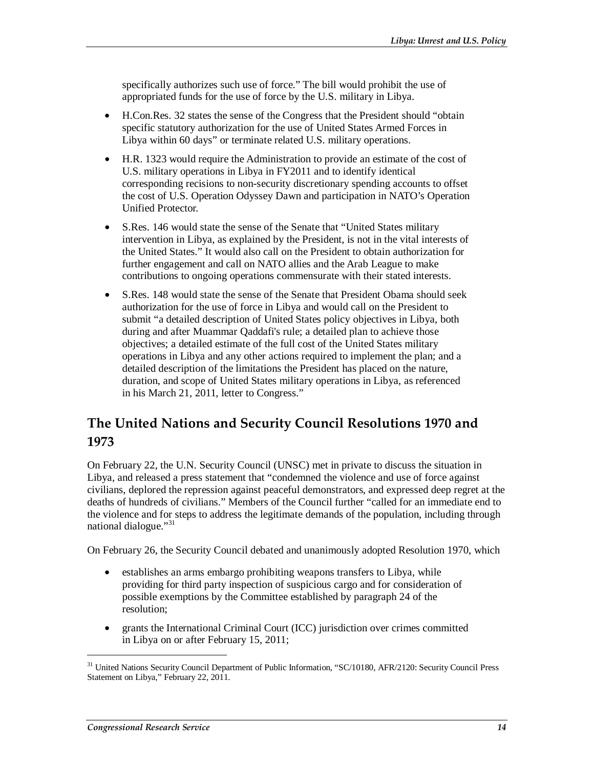specifically authorizes such use of force." The bill would prohibit the use of appropriated funds for the use of force by the U.S. military in Libya.

- H.Con.Res. 32 states the sense of the Congress that the President should "obtain specific statutory authorization for the use of United States Armed Forces in Libya within 60 days" or terminate related U.S. military operations.
- H.R. 1323 would require the Administration to provide an estimate of the cost of U.S. military operations in Libya in FY2011 and to identify identical corresponding recisions to non-security discretionary spending accounts to offset the cost of U.S. Operation Odyssey Dawn and participation in NATO's Operation Unified Protector.
- S.Res. 146 would state the sense of the Senate that "United States military" intervention in Libya, as explained by the President, is not in the vital interests of the United States." It would also call on the President to obtain authorization for further engagement and call on NATO allies and the Arab League to make contributions to ongoing operations commensurate with their stated interests.
- S.Res. 148 would state the sense of the Senate that President Obama should seek authorization for the use of force in Libya and would call on the President to submit "a detailed description of United States policy objectives in Libya, both during and after Muammar Qaddafi's rule; a detailed plan to achieve those objectives; a detailed estimate of the full cost of the United States military operations in Libya and any other actions required to implement the plan; and a detailed description of the limitations the President has placed on the nature, duration, and scope of United States military operations in Libya, as referenced in his March 21, 2011, letter to Congress."

## **The United Nations and Security Council Resolutions 1970 and 1973**

On February 22, the U.N. Security Council (UNSC) met in private to discuss the situation in Libya, and released a press statement that "condemned the violence and use of force against civilians, deplored the repression against peaceful demonstrators, and expressed deep regret at the deaths of hundreds of civilians." Members of the Council further "called for an immediate end to the violence and for steps to address the legitimate demands of the population, including through national dialogue."31

On February 26, the Security Council debated and unanimously adopted Resolution 1970, which

- establishes an arms embargo prohibiting weapons transfers to Libya, while providing for third party inspection of suspicious cargo and for consideration of possible exemptions by the Committee established by paragraph 24 of the resolution;
- grants the International Criminal Court (ICC) jurisdiction over crimes committed in Libya on or after February 15, 2011;

<sup>&</sup>lt;sup>31</sup> United Nations Security Council Department of Public Information, "SC/10180, AFR/2120: Security Council Press Statement on Libya," February 22, 2011.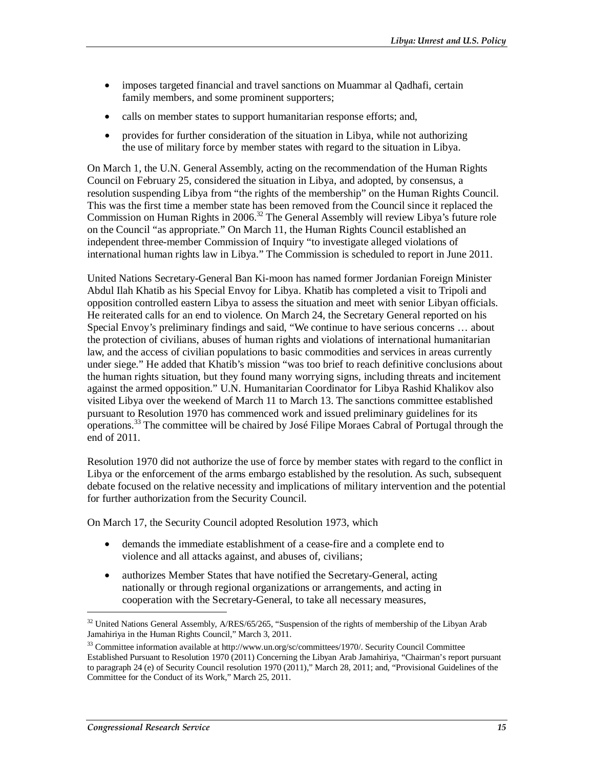- imposes targeted financial and travel sanctions on Muammar al Qadhafi, certain family members, and some prominent supporters;
- calls on member states to support humanitarian response efforts; and,
- provides for further consideration of the situation in Libya, while not authorizing the use of military force by member states with regard to the situation in Libya.

On March 1, the U.N. General Assembly, acting on the recommendation of the Human Rights Council on February 25, considered the situation in Libya, and adopted, by consensus, a resolution suspending Libya from "the rights of the membership" on the Human Rights Council. This was the first time a member state has been removed from the Council since it replaced the Commission on Human Rights in 2006.<sup>32</sup> The General Assembly will review Libya's future role on the Council "as appropriate." On March 11, the Human Rights Council established an independent three-member Commission of Inquiry "to investigate alleged violations of international human rights law in Libya." The Commission is scheduled to report in June 2011.

United Nations Secretary-General Ban Ki-moon has named former Jordanian Foreign Minister Abdul Ilah Khatib as his Special Envoy for Libya. Khatib has completed a visit to Tripoli and opposition controlled eastern Libya to assess the situation and meet with senior Libyan officials. He reiterated calls for an end to violence. On March 24, the Secretary General reported on his Special Envoy's preliminary findings and said, "We continue to have serious concerns … about the protection of civilians, abuses of human rights and violations of international humanitarian law, and the access of civilian populations to basic commodities and services in areas currently under siege." He added that Khatib's mission "was too brief to reach definitive conclusions about the human rights situation, but they found many worrying signs, including threats and incitement against the armed opposition." U.N. Humanitarian Coordinator for Libya Rashid Khalikov also visited Libya over the weekend of March 11 to March 13. The sanctions committee established pursuant to Resolution 1970 has commenced work and issued preliminary guidelines for its operations.33 The committee will be chaired by José Filipe Moraes Cabral of Portugal through the end of 2011.

Resolution 1970 did not authorize the use of force by member states with regard to the conflict in Libya or the enforcement of the arms embargo established by the resolution. As such, subsequent debate focused on the relative necessity and implications of military intervention and the potential for further authorization from the Security Council.

On March 17, the Security Council adopted Resolution 1973, which

- demands the immediate establishment of a cease-fire and a complete end to violence and all attacks against, and abuses of, civilians;
- authorizes Member States that have notified the Secretary-General, acting nationally or through regional organizations or arrangements, and acting in cooperation with the Secretary-General, to take all necessary measures,

<sup>&</sup>lt;sup>32</sup> United Nations General Assembly, A/RES/65/265, "Suspension of the rights of membership of the Libyan Arab Jamahiriya in the Human Rights Council," March 3, 2011.

<sup>33</sup> Committee information available at http://www.un.org/sc/committees/1970/. Security Council Committee Established Pursuant to Resolution 1970 (2011) Concerning the Libyan Arab Jamahiriya, "Chairman's report pursuant to paragraph 24 (e) of Security Council resolution 1970 (2011)," March 28, 2011; and, "Provisional Guidelines of the Committee for the Conduct of its Work," March 25, 2011.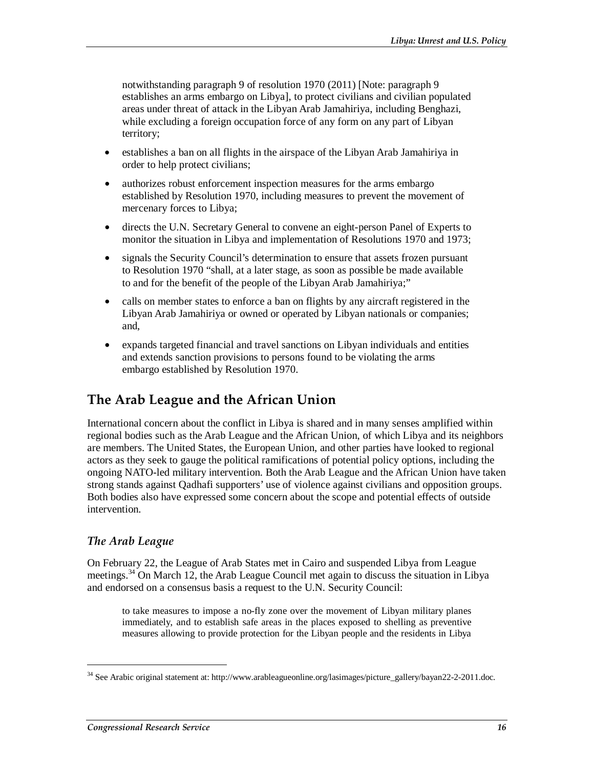notwithstanding paragraph 9 of resolution 1970 (2011) [Note: paragraph 9 establishes an arms embargo on Libya], to protect civilians and civilian populated areas under threat of attack in the Libyan Arab Jamahiriya, including Benghazi, while excluding a foreign occupation force of any form on any part of Libyan territory;

- establishes a ban on all flights in the airspace of the Libyan Arab Jamahiriya in order to help protect civilians;
- authorizes robust enforcement inspection measures for the arms embargo established by Resolution 1970, including measures to prevent the movement of mercenary forces to Libya;
- directs the U.N. Secretary General to convene an eight-person Panel of Experts to monitor the situation in Libya and implementation of Resolutions 1970 and 1973;
- signals the Security Council's determination to ensure that assets frozen pursuant to Resolution 1970 "shall, at a later stage, as soon as possible be made available to and for the benefit of the people of the Libyan Arab Jamahiriya;"
- calls on member states to enforce a ban on flights by any aircraft registered in the Libyan Arab Jamahiriya or owned or operated by Libyan nationals or companies; and,
- expands targeted financial and travel sanctions on Libyan individuals and entities and extends sanction provisions to persons found to be violating the arms embargo established by Resolution 1970.

## **The Arab League and the African Union**

International concern about the conflict in Libya is shared and in many senses amplified within regional bodies such as the Arab League and the African Union, of which Libya and its neighbors are members. The United States, the European Union, and other parties have looked to regional actors as they seek to gauge the political ramifications of potential policy options, including the ongoing NATO-led military intervention. Both the Arab League and the African Union have taken strong stands against Qadhafi supporters' use of violence against civilians and opposition groups. Both bodies also have expressed some concern about the scope and potential effects of outside intervention.

### *The Arab League*

1

On February 22, the League of Arab States met in Cairo and suspended Libya from League meetings.<sup>34</sup> On March 12, the Arab League Council met again to discuss the situation in Libya and endorsed on a consensus basis a request to the U.N. Security Council:

to take measures to impose a no-fly zone over the movement of Libyan military planes immediately, and to establish safe areas in the places exposed to shelling as preventive measures allowing to provide protection for the Libyan people and the residents in Libya

<sup>&</sup>lt;sup>34</sup> See Arabic original statement at: http://www.arableagueonline.org/lasimages/picture\_gallery/bayan22-2-2011.doc.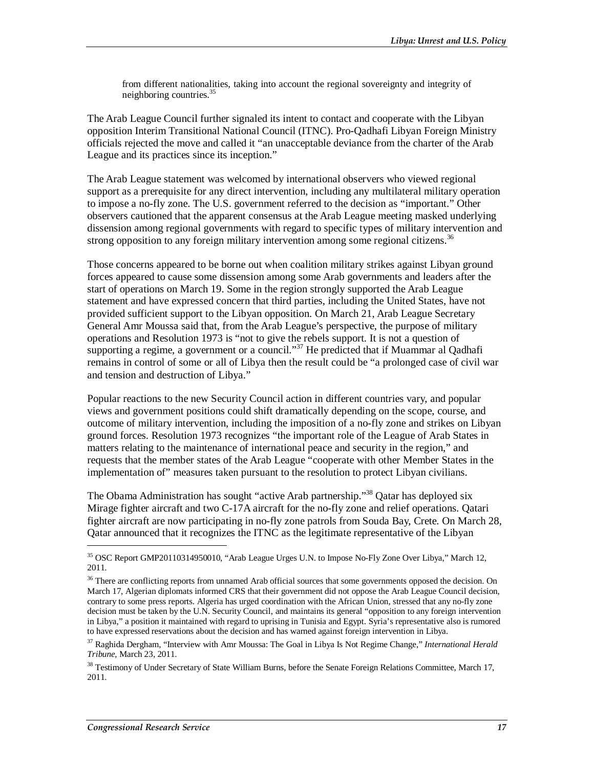from different nationalities, taking into account the regional sovereignty and integrity of neighboring countries.35

The Arab League Council further signaled its intent to contact and cooperate with the Libyan opposition Interim Transitional National Council (ITNC). Pro-Qadhafi Libyan Foreign Ministry officials rejected the move and called it "an unacceptable deviance from the charter of the Arab League and its practices since its inception."

The Arab League statement was welcomed by international observers who viewed regional support as a prerequisite for any direct intervention, including any multilateral military operation to impose a no-fly zone. The U.S. government referred to the decision as "important." Other observers cautioned that the apparent consensus at the Arab League meeting masked underlying dissension among regional governments with regard to specific types of military intervention and strong opposition to any foreign military intervention among some regional citizens.<sup>36</sup>

Those concerns appeared to be borne out when coalition military strikes against Libyan ground forces appeared to cause some dissension among some Arab governments and leaders after the start of operations on March 19. Some in the region strongly supported the Arab League statement and have expressed concern that third parties, including the United States, have not provided sufficient support to the Libyan opposition. On March 21, Arab League Secretary General Amr Moussa said that, from the Arab League's perspective, the purpose of military operations and Resolution 1973 is "not to give the rebels support. It is not a question of supporting a regime, a government or a council."<sup>37</sup> He predicted that if Muammar al Qadhafi remains in control of some or all of Libya then the result could be "a prolonged case of civil war and tension and destruction of Libya."

Popular reactions to the new Security Council action in different countries vary, and popular views and government positions could shift dramatically depending on the scope, course, and outcome of military intervention, including the imposition of a no-fly zone and strikes on Libyan ground forces. Resolution 1973 recognizes "the important role of the League of Arab States in matters relating to the maintenance of international peace and security in the region," and requests that the member states of the Arab League "cooperate with other Member States in the implementation of" measures taken pursuant to the resolution to protect Libyan civilians.

The Obama Administration has sought "active Arab partnership."<sup>38</sup> Qatar has deployed six Mirage fighter aircraft and two C-17A aircraft for the no-fly zone and relief operations. Qatari fighter aircraft are now participating in no-fly zone patrols from Souda Bay, Crete. On March 28, Qatar announced that it recognizes the ITNC as the legitimate representative of the Libyan

<sup>35</sup> OSC Report GMP20110314950010, "Arab League Urges U.N. to Impose No-Fly Zone Over Libya," March 12, 2011.

<sup>&</sup>lt;sup>36</sup> There are conflicting reports from unnamed Arab official sources that some governments opposed the decision. On March 17, Algerian diplomats informed CRS that their government did not oppose the Arab League Council decision, contrary to some press reports. Algeria has urged coordination with the African Union, stressed that any no-fly zone decision must be taken by the U.N. Security Council, and maintains its general "opposition to any foreign intervention in Libya," a position it maintained with regard to uprising in Tunisia and Egypt. Syria's representative also is rumored to have expressed reservations about the decision and has warned against foreign intervention in Libya.

<sup>37</sup> Raghida Dergham, "Interview with Amr Moussa: The Goal in Libya Is Not Regime Change," *International Herald Tribune*, March 23, 2011.

<sup>&</sup>lt;sup>38</sup> Testimony of Under Secretary of State William Burns, before the Senate Foreign Relations Committee, March 17, 2011.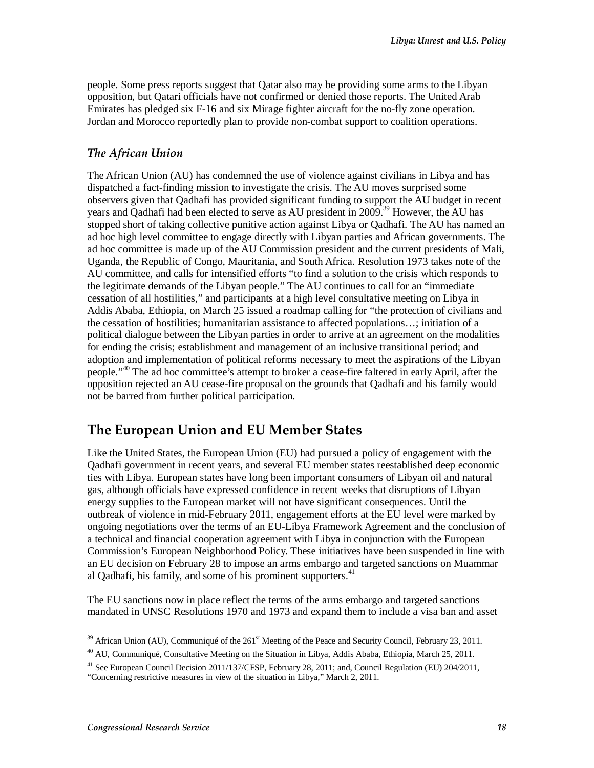people. Some press reports suggest that Qatar also may be providing some arms to the Libyan opposition, but Qatari officials have not confirmed or denied those reports. The United Arab Emirates has pledged six F-16 and six Mirage fighter aircraft for the no-fly zone operation. Jordan and Morocco reportedly plan to provide non-combat support to coalition operations.

#### *The African Union*

The African Union (AU) has condemned the use of violence against civilians in Libya and has dispatched a fact-finding mission to investigate the crisis. The AU moves surprised some observers given that Qadhafi has provided significant funding to support the AU budget in recent years and Oadhafi had been elected to serve as AU president in 2009.<sup>39</sup> However, the AU has stopped short of taking collective punitive action against Libya or Qadhafi. The AU has named an ad hoc high level committee to engage directly with Libyan parties and African governments. The ad hoc committee is made up of the AU Commission president and the current presidents of Mali, Uganda, the Republic of Congo, Mauritania, and South Africa. Resolution 1973 takes note of the AU committee, and calls for intensified efforts "to find a solution to the crisis which responds to the legitimate demands of the Libyan people." The AU continues to call for an "immediate cessation of all hostilities," and participants at a high level consultative meeting on Libya in Addis Ababa, Ethiopia, on March 25 issued a roadmap calling for "the protection of civilians and the cessation of hostilities; humanitarian assistance to affected populations…; initiation of a political dialogue between the Libyan parties in order to arrive at an agreement on the modalities for ending the crisis; establishment and management of an inclusive transitional period; and adoption and implementation of political reforms necessary to meet the aspirations of the Libyan people."<sup>40</sup> The ad hoc committee's attempt to broker a cease-fire faltered in early April, after the opposition rejected an AU cease-fire proposal on the grounds that Qadhafi and his family would not be barred from further political participation.

## **The European Union and EU Member States**

Like the United States, the European Union (EU) had pursued a policy of engagement with the Qadhafi government in recent years, and several EU member states reestablished deep economic ties with Libya. European states have long been important consumers of Libyan oil and natural gas, although officials have expressed confidence in recent weeks that disruptions of Libyan energy supplies to the European market will not have significant consequences. Until the outbreak of violence in mid-February 2011, engagement efforts at the EU level were marked by ongoing negotiations over the terms of an EU-Libya Framework Agreement and the conclusion of a technical and financial cooperation agreement with Libya in conjunction with the European Commission's European Neighborhood Policy. These initiatives have been suspended in line with an EU decision on February 28 to impose an arms embargo and targeted sanctions on Muammar al Qadhafi, his family, and some of his prominent supporters. $41$ 

The EU sanctions now in place reflect the terms of the arms embargo and targeted sanctions mandated in UNSC Resolutions 1970 and 1973 and expand them to include a visa ban and asset

 $39$  African Union (AU), Communiqué of the  $261<sup>st</sup>$  Meeting of the Peace and Security Council, February 23, 2011.

<sup>&</sup>lt;sup>40</sup> AU. Communiqué, Consultative Meeting on the Situation in Libya, Addis Ababa, Ethiopia, March 25, 2011.

<sup>&</sup>lt;sup>41</sup> See European Council Decision 2011/137/CFSP, February 28, 2011; and, Council Regulation (EU) 204/2011,

<sup>&</sup>quot;Concerning restrictive measures in view of the situation in Libya," March 2, 2011.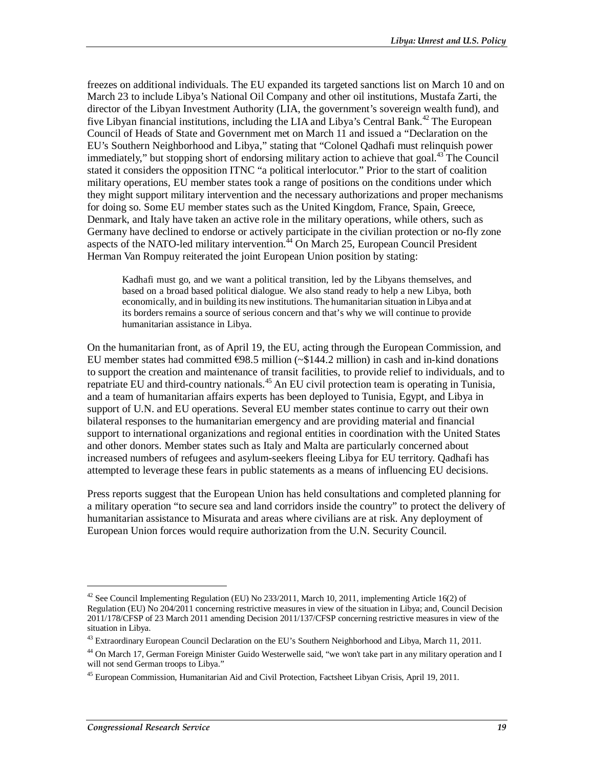freezes on additional individuals. The EU expanded its targeted sanctions list on March 10 and on March 23 to include Libya's National Oil Company and other oil institutions, Mustafa Zarti, the director of the Libyan Investment Authority (LIA, the government's sovereign wealth fund), and five Libyan financial institutions, including the LIA and Libya's Central Bank.<sup>42</sup> The European Council of Heads of State and Government met on March 11 and issued a "Declaration on the EU's Southern Neighborhood and Libya," stating that "Colonel Qadhafi must relinquish power immediately," but stopping short of endorsing military action to achieve that goal.<sup>43</sup> The Council stated it considers the opposition ITNC "a political interlocutor." Prior to the start of coalition military operations, EU member states took a range of positions on the conditions under which they might support military intervention and the necessary authorizations and proper mechanisms for doing so. Some EU member states such as the United Kingdom, France, Spain, Greece, Denmark, and Italy have taken an active role in the military operations, while others, such as Germany have declined to endorse or actively participate in the civilian protection or no-fly zone aspects of the NATO-led military intervention.<sup> $44$ </sup> On March 25, European Council President Herman Van Rompuy reiterated the joint European Union position by stating:

Kadhafi must go, and we want a political transition, led by the Libyans themselves, and based on a broad based political dialogue. We also stand ready to help a new Libya, both economically, and in building its new institutions. The humanitarian situation in Libya and at its borders remains a source of serious concern and that's why we will continue to provide humanitarian assistance in Libya.

On the humanitarian front, as of April 19, the EU, acting through the European Commission, and EU member states had committed  $\epsilon$ 98.5 million (~\$144.2 million) in cash and in-kind donations to support the creation and maintenance of transit facilities, to provide relief to individuals, and to repatriate EU and third-country nationals.<sup>45</sup> An EU civil protection team is operating in Tunisia, and a team of humanitarian affairs experts has been deployed to Tunisia, Egypt, and Libya in support of U.N. and EU operations. Several EU member states continue to carry out their own bilateral responses to the humanitarian emergency and are providing material and financial support to international organizations and regional entities in coordination with the United States and other donors. Member states such as Italy and Malta are particularly concerned about increased numbers of refugees and asylum-seekers fleeing Libya for EU territory. Qadhafi has attempted to leverage these fears in public statements as a means of influencing EU decisions.

Press reports suggest that the European Union has held consultations and completed planning for a military operation "to secure sea and land corridors inside the country" to protect the delivery of humanitarian assistance to Misurata and areas where civilians are at risk. Any deployment of European Union forces would require authorization from the U.N. Security Council.

<sup>42</sup> See Council Implementing Regulation (EU) No 233/2011, March 10, 2011, implementing Article 16(2) of Regulation (EU) No 204/2011 concerning restrictive measures in view of the situation in Libya; and, Council Decision 2011/178/CFSP of 23 March 2011 amending Decision 2011/137/CFSP concerning restrictive measures in view of the situation in Libya.

<sup>&</sup>lt;sup>43</sup> Extraordinary European Council Declaration on the EU's Southern Neighborhood and Libya, March 11, 2011.

<sup>&</sup>lt;sup>44</sup> On March 17, German Foreign Minister Guido Westerwelle said, "we won't take part in any military operation and I will not send German troops to Libya."

<sup>45</sup> European Commission, Humanitarian Aid and Civil Protection, Factsheet Libyan Crisis, April 19, 2011.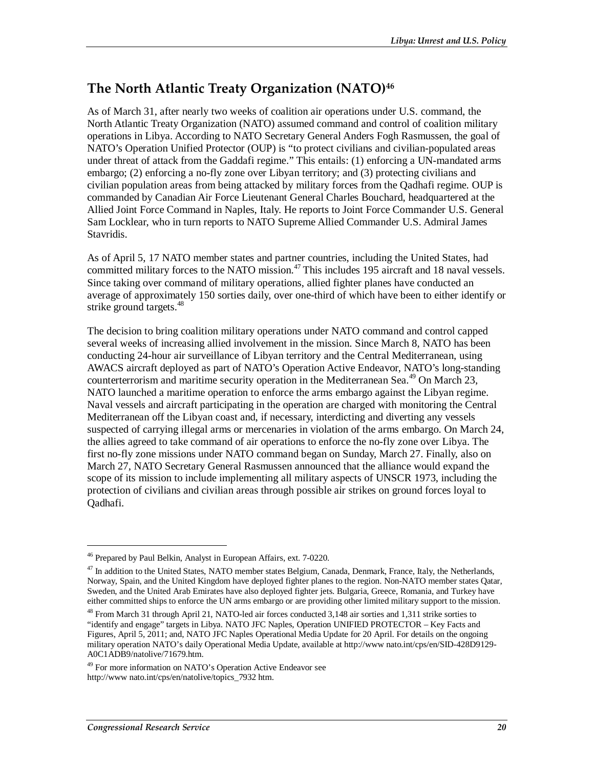## **The North Atlantic Treaty Organization (NATO)46**

As of March 31, after nearly two weeks of coalition air operations under U.S. command, the North Atlantic Treaty Organization (NATO) assumed command and control of coalition military operations in Libya. According to NATO Secretary General Anders Fogh Rasmussen, the goal of NATO's Operation Unified Protector (OUP) is "to protect civilians and civilian-populated areas under threat of attack from the Gaddafi regime." This entails: (1) enforcing a UN-mandated arms embargo; (2) enforcing a no-fly zone over Libyan territory; and (3) protecting civilians and civilian population areas from being attacked by military forces from the Qadhafi regime. OUP is commanded by Canadian Air Force Lieutenant General Charles Bouchard, headquartered at the Allied Joint Force Command in Naples, Italy. He reports to Joint Force Commander U.S. General Sam Locklear, who in turn reports to NATO Supreme Allied Commander U.S. Admiral James Stavridis.

As of April 5, 17 NATO member states and partner countries, including the United States, had committed military forces to the NATO mission.<sup>47</sup> This includes 195 aircraft and 18 naval vessels. Since taking over command of military operations, allied fighter planes have conducted an average of approximately 150 sorties daily, over one-third of which have been to either identify or strike ground targets.<sup>48</sup>

The decision to bring coalition military operations under NATO command and control capped several weeks of increasing allied involvement in the mission. Since March 8, NATO has been conducting 24-hour air surveillance of Libyan territory and the Central Mediterranean, using AWACS aircraft deployed as part of NATO's Operation Active Endeavor, NATO's long-standing counterterrorism and maritime security operation in the Mediterranean Sea.<sup>49</sup> On March 23, NATO launched a maritime operation to enforce the arms embargo against the Libyan regime. Naval vessels and aircraft participating in the operation are charged with monitoring the Central Mediterranean off the Libyan coast and, if necessary, interdicting and diverting any vessels suspected of carrying illegal arms or mercenaries in violation of the arms embargo. On March 24, the allies agreed to take command of air operations to enforce the no-fly zone over Libya. The first no-fly zone missions under NATO command began on Sunday, March 27. Finally, also on March 27, NATO Secretary General Rasmussen announced that the alliance would expand the scope of its mission to include implementing all military aspects of UNSCR 1973, including the protection of civilians and civilian areas through possible air strikes on ground forces loyal to Qadhafi.

<sup>46</sup> Prepared by Paul Belkin, Analyst in European Affairs, ext. 7-0220.

 $47$  In addition to the United States, NATO member states Belgium, Canada, Denmark, France, Italy, the Netherlands, Norway, Spain, and the United Kingdom have deployed fighter planes to the region. Non-NATO member states Qatar, Sweden, and the United Arab Emirates have also deployed fighter jets. Bulgaria, Greece, Romania, and Turkey have either committed ships to enforce the UN arms embargo or are providing other limited military support to the mission.

<sup>48</sup> From March 31 through April 21, NATO-led air forces conducted 3,148 air sorties and 1,311 strike sorties to "identify and engage" targets in Libya. NATO JFC Naples, Operation UNIFIED PROTECTOR – Key Facts and Figures, April 5, 2011; and, NATO JFC Naples Operational Media Update for 20 April. For details on the ongoing military operation NATO's daily Operational Media Update, available at http://www nato.int/cps/en/SID-428D9129- A0C1ADB9/natolive/71679.htm.

<sup>&</sup>lt;sup>49</sup> For more information on NATO's Operation Active Endeavor see http://www nato.int/cps/en/natolive/topics\_7932 htm.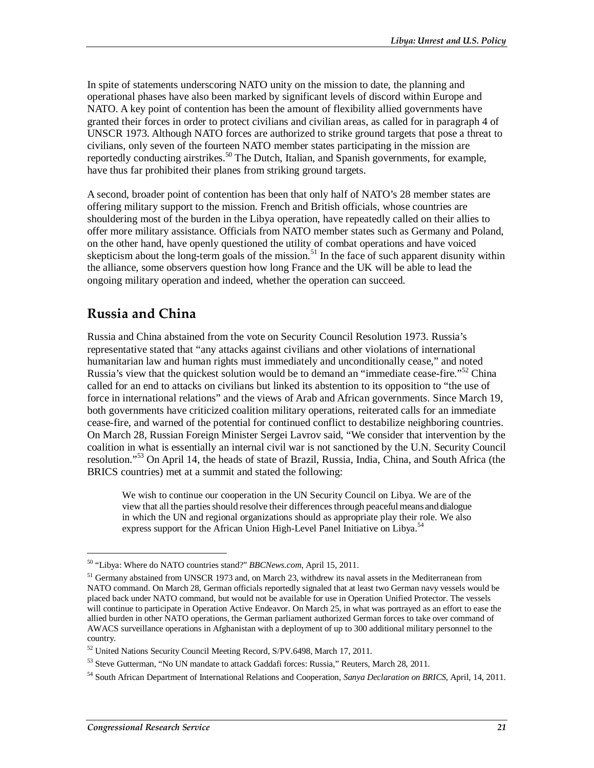In spite of statements underscoring NATO unity on the mission to date, the planning and operational phases have also been marked by significant levels of discord within Europe and NATO. A key point of contention has been the amount of flexibility allied governments have granted their forces in order to protect civilians and civilian areas, as called for in paragraph 4 of UNSCR 1973. Although NATO forces are authorized to strike ground targets that pose a threat to civilians, only seven of the fourteen NATO member states participating in the mission are reportedly conducting airstrikes.<sup>50</sup> The Dutch, Italian, and Spanish governments, for example, have thus far prohibited their planes from striking ground targets.

A second, broader point of contention has been that only half of NATO's 28 member states are offering military support to the mission. French and British officials, whose countries are shouldering most of the burden in the Libya operation, have repeatedly called on their allies to offer more military assistance. Officials from NATO member states such as Germany and Poland, on the other hand, have openly questioned the utility of combat operations and have voiced skepticism about the long-term goals of the mission.<sup>51</sup> In the face of such apparent disunity within the alliance, some observers question how long France and the UK will be able to lead the ongoing military operation and indeed, whether the operation can succeed.

## **Russia and China**

Russia and China abstained from the vote on Security Council Resolution 1973. Russia's representative stated that "any attacks against civilians and other violations of international humanitarian law and human rights must immediately and unconditionally cease," and noted Russia's view that the quickest solution would be to demand an "immediate cease-fire."52 China called for an end to attacks on civilians but linked its abstention to its opposition to "the use of force in international relations" and the views of Arab and African governments. Since March 19, both governments have criticized coalition military operations, reiterated calls for an immediate cease-fire, and warned of the potential for continued conflict to destabilize neighboring countries. On March 28, Russian Foreign Minister Sergei Lavrov said, "We consider that intervention by the coalition in what is essentially an internal civil war is not sanctioned by the U.N. Security Council resolution."53 On April 14, the heads of state of Brazil, Russia, India, China, and South Africa (the BRICS countries) met at a summit and stated the following:

We wish to continue our cooperation in the UN Security Council on Libya. We are of the view that all the parties should resolve their differences through peaceful means and dialogue in which the UN and regional organizations should as appropriate play their role. We also express support for the African Union High-Level Panel Initiative on Libya.<sup>54</sup>

<sup>50 &</sup>quot;Libya: Where do NATO countries stand?" *BBCNews.com*, April 15, 2011.

<sup>&</sup>lt;sup>51</sup> Germany abstained from UNSCR 1973 and, on March 23, withdrew its naval assets in the Mediterranean from NATO command. On March 28, German officials reportedly signaled that at least two German navy vessels would be placed back under NATO command, but would not be available for use in Operation Unified Protector. The vessels will continue to participate in Operation Active Endeavor. On March 25, in what was portrayed as an effort to ease the allied burden in other NATO operations, the German parliament authorized German forces to take over command of AWACS surveillance operations in Afghanistan with a deployment of up to 300 additional military personnel to the country.

<sup>52</sup> United Nations Security Council Meeting Record, S/PV.6498, March 17, 2011.

<sup>53</sup> Steve Gutterman, "No UN mandate to attack Gaddafi forces: Russia," Reuters, March 28, 2011.

<sup>54</sup> South African Department of International Relations and Cooperation, *Sanya Declaration on BRICS*, April, 14, 2011.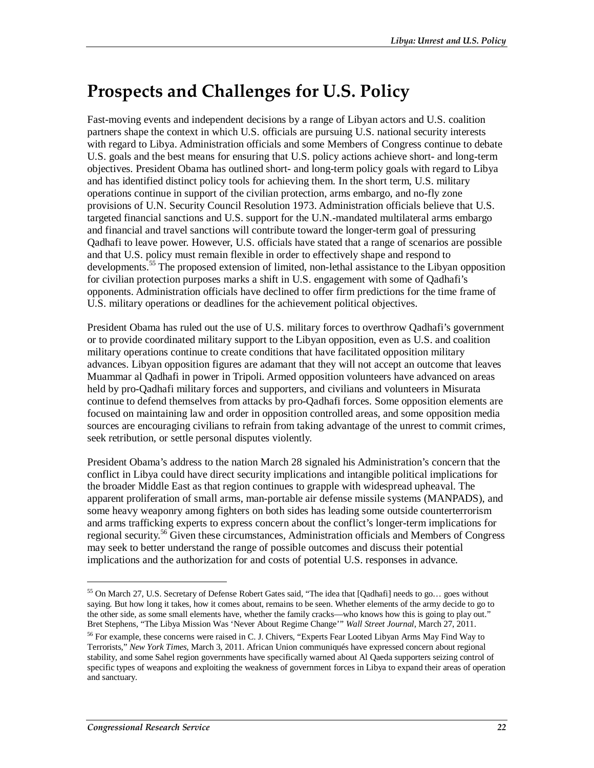# **Prospects and Challenges for U.S. Policy**

Fast-moving events and independent decisions by a range of Libyan actors and U.S. coalition partners shape the context in which U.S. officials are pursuing U.S. national security interests with regard to Libya. Administration officials and some Members of Congress continue to debate U.S. goals and the best means for ensuring that U.S. policy actions achieve short- and long-term objectives. President Obama has outlined short- and long-term policy goals with regard to Libya and has identified distinct policy tools for achieving them. In the short term, U.S. military operations continue in support of the civilian protection, arms embargo, and no-fly zone provisions of U.N. Security Council Resolution 1973. Administration officials believe that U.S. targeted financial sanctions and U.S. support for the U.N.-mandated multilateral arms embargo and financial and travel sanctions will contribute toward the longer-term goal of pressuring Qadhafi to leave power. However, U.S. officials have stated that a range of scenarios are possible and that U.S. policy must remain flexible in order to effectively shape and respond to developments.<sup>55</sup> The proposed extension of limited, non-lethal assistance to the Libyan opposition for civilian protection purposes marks a shift in U.S. engagement with some of Qadhafi's opponents. Administration officials have declined to offer firm predictions for the time frame of U.S. military operations or deadlines for the achievement political objectives.

President Obama has ruled out the use of U.S. military forces to overthrow Qadhafi's government or to provide coordinated military support to the Libyan opposition, even as U.S. and coalition military operations continue to create conditions that have facilitated opposition military advances. Libyan opposition figures are adamant that they will not accept an outcome that leaves Muammar al Qadhafi in power in Tripoli. Armed opposition volunteers have advanced on areas held by pro-Qadhafi military forces and supporters, and civilians and volunteers in Misurata continue to defend themselves from attacks by pro-Qadhafi forces. Some opposition elements are focused on maintaining law and order in opposition controlled areas, and some opposition media sources are encouraging civilians to refrain from taking advantage of the unrest to commit crimes, seek retribution, or settle personal disputes violently.

President Obama's address to the nation March 28 signaled his Administration's concern that the conflict in Libya could have direct security implications and intangible political implications for the broader Middle East as that region continues to grapple with widespread upheaval. The apparent proliferation of small arms, man-portable air defense missile systems (MANPADS), and some heavy weaponry among fighters on both sides has leading some outside counterterrorism and arms trafficking experts to express concern about the conflict's longer-term implications for regional security.<sup>56</sup> Given these circumstances, Administration officials and Members of Congress may seek to better understand the range of possible outcomes and discuss their potential implications and the authorization for and costs of potential U.S. responses in advance.

<sup>55</sup> On March 27, U.S. Secretary of Defense Robert Gates said, "The idea that [Qadhafi] needs to go… goes without saying. But how long it takes, how it comes about, remains to be seen. Whether elements of the army decide to go to the other side, as some small elements have, whether the family cracks—who knows how this is going to play out." Bret Stephens, "The Libya Mission Was 'Never About Regime Change'" *Wall Street Journal*, March 27, 2011.

<sup>&</sup>lt;sup>56</sup> For example, these concerns were raised in C. J. Chivers, "Experts Fear Looted Libyan Arms May Find Way to Terrorists," *New York Times*, March 3, 2011. African Union communiqués have expressed concern about regional stability, and some Sahel region governments have specifically warned about Al Qaeda supporters seizing control of specific types of weapons and exploiting the weakness of government forces in Libya to expand their areas of operation and sanctuary.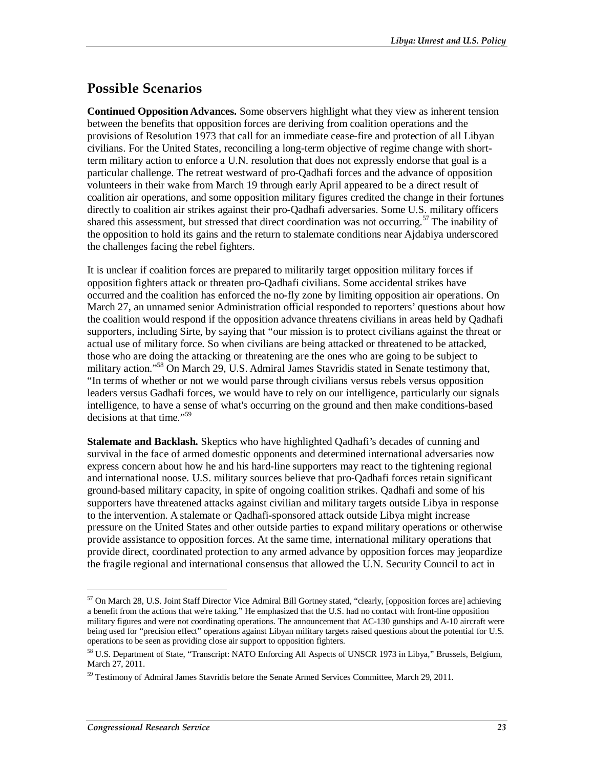## **Possible Scenarios**

**Continued Opposition Advances.** Some observers highlight what they view as inherent tension between the benefits that opposition forces are deriving from coalition operations and the provisions of Resolution 1973 that call for an immediate cease-fire and protection of all Libyan civilians. For the United States, reconciling a long-term objective of regime change with shortterm military action to enforce a U.N. resolution that does not expressly endorse that goal is a particular challenge. The retreat westward of pro-Qadhafi forces and the advance of opposition volunteers in their wake from March 19 through early April appeared to be a direct result of coalition air operations, and some opposition military figures credited the change in their fortunes directly to coalition air strikes against their pro-Qadhafi adversaries. Some U.S. military officers shared this assessment, but stressed that direct coordination was not occurring.<sup>57</sup> The inability of the opposition to hold its gains and the return to stalemate conditions near Ajdabiya underscored the challenges facing the rebel fighters.

It is unclear if coalition forces are prepared to militarily target opposition military forces if opposition fighters attack or threaten pro-Qadhafi civilians. Some accidental strikes have occurred and the coalition has enforced the no-fly zone by limiting opposition air operations. On March 27, an unnamed senior Administration official responded to reporters' questions about how the coalition would respond if the opposition advance threatens civilians in areas held by Qadhafi supporters, including Sirte, by saying that "our mission is to protect civilians against the threat or actual use of military force. So when civilians are being attacked or threatened to be attacked, those who are doing the attacking or threatening are the ones who are going to be subject to military action."<sup>58</sup> On March 29, U.S. Admiral James Stavridis stated in Senate testimony that, "In terms of whether or not we would parse through civilians versus rebels versus opposition leaders versus Gadhafi forces, we would have to rely on our intelligence, particularly our signals intelligence, to have a sense of what's occurring on the ground and then make conditions-based decisions at that time."<sup>59</sup>

**Stalemate and Backlash.** Skeptics who have highlighted Qadhafi's decades of cunning and survival in the face of armed domestic opponents and determined international adversaries now express concern about how he and his hard-line supporters may react to the tightening regional and international noose. U.S. military sources believe that pro-Qadhafi forces retain significant ground-based military capacity, in spite of ongoing coalition strikes. Qadhafi and some of his supporters have threatened attacks against civilian and military targets outside Libya in response to the intervention. A stalemate or Qadhafi-sponsored attack outside Libya might increase pressure on the United States and other outside parties to expand military operations or otherwise provide assistance to opposition forces. At the same time, international military operations that provide direct, coordinated protection to any armed advance by opposition forces may jeopardize the fragile regional and international consensus that allowed the U.N. Security Council to act in

<sup>57</sup> On March 28, U.S. Joint Staff Director Vice Admiral Bill Gortney stated, "clearly, [opposition forces are] achieving a benefit from the actions that we're taking." He emphasized that the U.S. had no contact with front-line opposition military figures and were not coordinating operations. The announcement that AC-130 gunships and A-10 aircraft were being used for "precision effect" operations against Libyan military targets raised questions about the potential for U.S. operations to be seen as providing close air support to opposition fighters.

<sup>58</sup> U.S. Department of State, "Transcript: NATO Enforcing All Aspects of UNSCR 1973 in Libya," Brussels, Belgium, March 27, 2011.

 $59$  Testimony of Admiral James Stavridis before the Senate Armed Services Committee, March 29, 2011.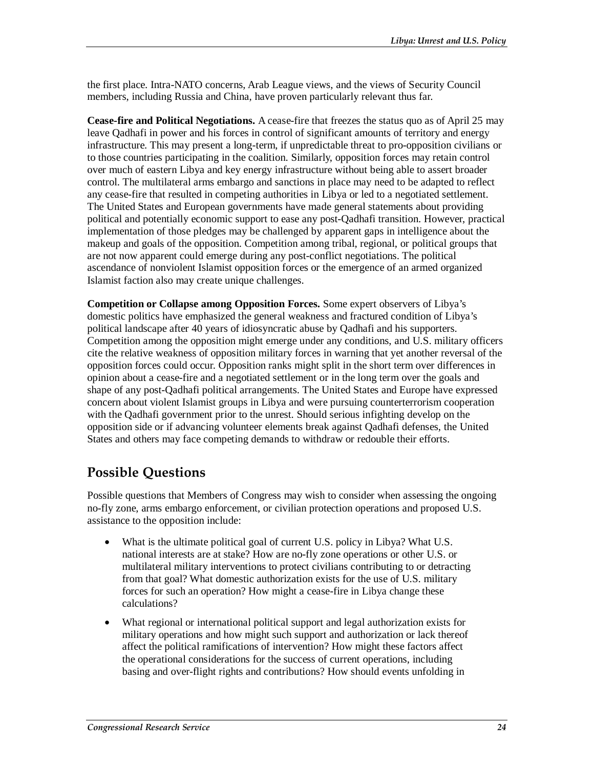the first place. Intra-NATO concerns, Arab League views, and the views of Security Council members, including Russia and China, have proven particularly relevant thus far.

**Cease-fire and Political Negotiations.** A cease-fire that freezes the status quo as of April 25 may leave Qadhafi in power and his forces in control of significant amounts of territory and energy infrastructure. This may present a long-term, if unpredictable threat to pro-opposition civilians or to those countries participating in the coalition. Similarly, opposition forces may retain control over much of eastern Libya and key energy infrastructure without being able to assert broader control. The multilateral arms embargo and sanctions in place may need to be adapted to reflect any cease-fire that resulted in competing authorities in Libya or led to a negotiated settlement. The United States and European governments have made general statements about providing political and potentially economic support to ease any post-Qadhafi transition. However, practical implementation of those pledges may be challenged by apparent gaps in intelligence about the makeup and goals of the opposition. Competition among tribal, regional, or political groups that are not now apparent could emerge during any post-conflict negotiations. The political ascendance of nonviolent Islamist opposition forces or the emergence of an armed organized Islamist faction also may create unique challenges.

**Competition or Collapse among Opposition Forces.** Some expert observers of Libya's domestic politics have emphasized the general weakness and fractured condition of Libya's political landscape after 40 years of idiosyncratic abuse by Qadhafi and his supporters. Competition among the opposition might emerge under any conditions, and U.S. military officers cite the relative weakness of opposition military forces in warning that yet another reversal of the opposition forces could occur. Opposition ranks might split in the short term over differences in opinion about a cease-fire and a negotiated settlement or in the long term over the goals and shape of any post-Qadhafi political arrangements. The United States and Europe have expressed concern about violent Islamist groups in Libya and were pursuing counterterrorism cooperation with the Qadhafi government prior to the unrest. Should serious infighting develop on the opposition side or if advancing volunteer elements break against Qadhafi defenses, the United States and others may face competing demands to withdraw or redouble their efforts.

## **Possible Questions**

Possible questions that Members of Congress may wish to consider when assessing the ongoing no-fly zone, arms embargo enforcement, or civilian protection operations and proposed U.S. assistance to the opposition include:

- What is the ultimate political goal of current U.S. policy in Libya? What U.S. national interests are at stake? How are no-fly zone operations or other U.S. or multilateral military interventions to protect civilians contributing to or detracting from that goal? What domestic authorization exists for the use of U.S. military forces for such an operation? How might a cease-fire in Libya change these calculations?
- What regional or international political support and legal authorization exists for military operations and how might such support and authorization or lack thereof affect the political ramifications of intervention? How might these factors affect the operational considerations for the success of current operations, including basing and over-flight rights and contributions? How should events unfolding in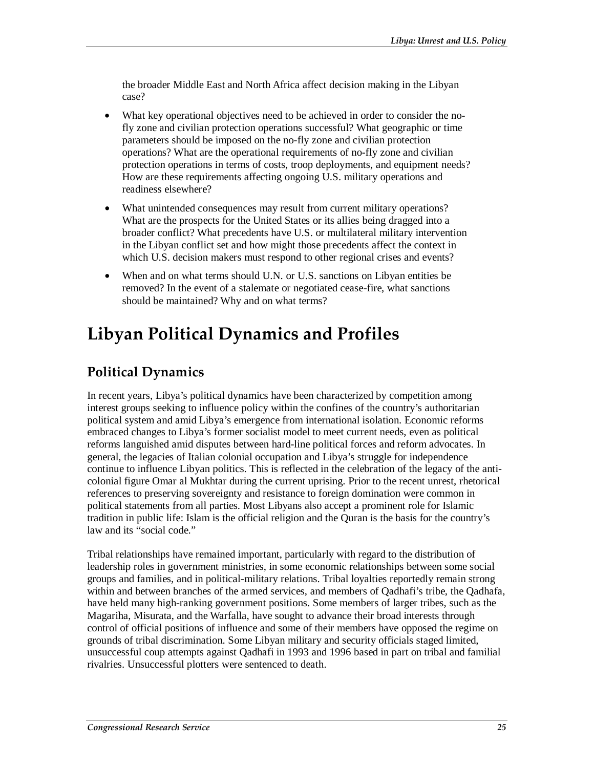the broader Middle East and North Africa affect decision making in the Libyan case?

- What key operational objectives need to be achieved in order to consider the nofly zone and civilian protection operations successful? What geographic or time parameters should be imposed on the no-fly zone and civilian protection operations? What are the operational requirements of no-fly zone and civilian protection operations in terms of costs, troop deployments, and equipment needs? How are these requirements affecting ongoing U.S. military operations and readiness elsewhere?
- What unintended consequences may result from current military operations? What are the prospects for the United States or its allies being dragged into a broader conflict? What precedents have U.S. or multilateral military intervention in the Libyan conflict set and how might those precedents affect the context in which U.S. decision makers must respond to other regional crises and events?
- When and on what terms should U.N. or U.S. sanctions on Libyan entities be removed? In the event of a stalemate or negotiated cease-fire, what sanctions should be maintained? Why and on what terms?

# **Libyan Political Dynamics and Profiles**

# **Political Dynamics**

In recent years, Libya's political dynamics have been characterized by competition among interest groups seeking to influence policy within the confines of the country's authoritarian political system and amid Libya's emergence from international isolation. Economic reforms embraced changes to Libya's former socialist model to meet current needs, even as political reforms languished amid disputes between hard-line political forces and reform advocates. In general, the legacies of Italian colonial occupation and Libya's struggle for independence continue to influence Libyan politics. This is reflected in the celebration of the legacy of the anticolonial figure Omar al Mukhtar during the current uprising. Prior to the recent unrest, rhetorical references to preserving sovereignty and resistance to foreign domination were common in political statements from all parties. Most Libyans also accept a prominent role for Islamic tradition in public life: Islam is the official religion and the Quran is the basis for the country's law and its "social code."

Tribal relationships have remained important, particularly with regard to the distribution of leadership roles in government ministries, in some economic relationships between some social groups and families, and in political-military relations. Tribal loyalties reportedly remain strong within and between branches of the armed services, and members of Qadhafi's tribe, the Qadhafa, have held many high-ranking government positions. Some members of larger tribes, such as the Magariha, Misurata, and the Warfalla, have sought to advance their broad interests through control of official positions of influence and some of their members have opposed the regime on grounds of tribal discrimination. Some Libyan military and security officials staged limited, unsuccessful coup attempts against Qadhafi in 1993 and 1996 based in part on tribal and familial rivalries. Unsuccessful plotters were sentenced to death.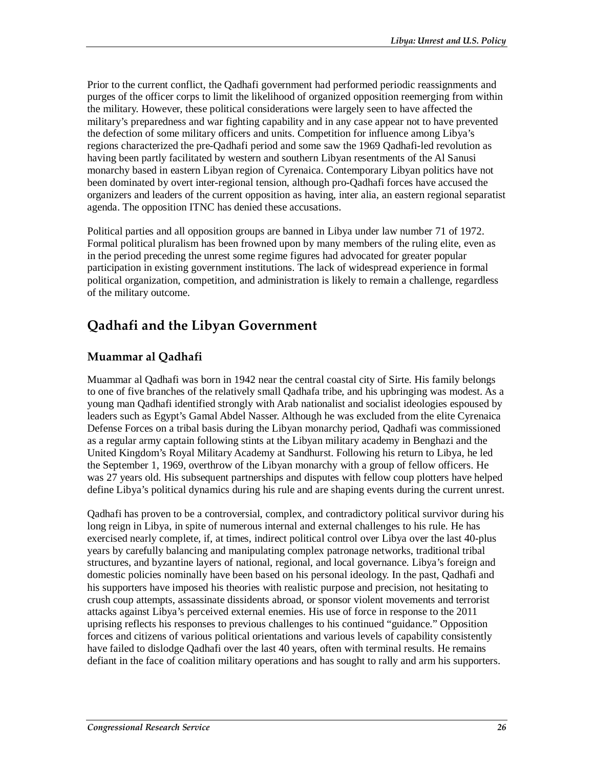Prior to the current conflict, the Qadhafi government had performed periodic reassignments and purges of the officer corps to limit the likelihood of organized opposition reemerging from within the military. However, these political considerations were largely seen to have affected the military's preparedness and war fighting capability and in any case appear not to have prevented the defection of some military officers and units. Competition for influence among Libya's regions characterized the pre-Qadhafi period and some saw the 1969 Qadhafi-led revolution as having been partly facilitated by western and southern Libyan resentments of the Al Sanusi monarchy based in eastern Libyan region of Cyrenaica. Contemporary Libyan politics have not been dominated by overt inter-regional tension, although pro-Qadhafi forces have accused the organizers and leaders of the current opposition as having, inter alia, an eastern regional separatist agenda. The opposition ITNC has denied these accusations.

Political parties and all opposition groups are banned in Libya under law number 71 of 1972. Formal political pluralism has been frowned upon by many members of the ruling elite, even as in the period preceding the unrest some regime figures had advocated for greater popular participation in existing government institutions. The lack of widespread experience in formal political organization, competition, and administration is likely to remain a challenge, regardless of the military outcome.

# **Qadhafi and the Libyan Government**

## **Muammar al Qadhafi**

Muammar al Qadhafi was born in 1942 near the central coastal city of Sirte. His family belongs to one of five branches of the relatively small Qadhafa tribe, and his upbringing was modest. As a young man Qadhafi identified strongly with Arab nationalist and socialist ideologies espoused by leaders such as Egypt's Gamal Abdel Nasser. Although he was excluded from the elite Cyrenaica Defense Forces on a tribal basis during the Libyan monarchy period, Qadhafi was commissioned as a regular army captain following stints at the Libyan military academy in Benghazi and the United Kingdom's Royal Military Academy at Sandhurst. Following his return to Libya, he led the September 1, 1969, overthrow of the Libyan monarchy with a group of fellow officers. He was 27 years old. His subsequent partnerships and disputes with fellow coup plotters have helped define Libya's political dynamics during his rule and are shaping events during the current unrest.

Qadhafi has proven to be a controversial, complex, and contradictory political survivor during his long reign in Libya, in spite of numerous internal and external challenges to his rule. He has exercised nearly complete, if, at times, indirect political control over Libya over the last 40-plus years by carefully balancing and manipulating complex patronage networks, traditional tribal structures, and byzantine layers of national, regional, and local governance. Libya's foreign and domestic policies nominally have been based on his personal ideology. In the past, Qadhafi and his supporters have imposed his theories with realistic purpose and precision, not hesitating to crush coup attempts, assassinate dissidents abroad, or sponsor violent movements and terrorist attacks against Libya's perceived external enemies. His use of force in response to the 2011 uprising reflects his responses to previous challenges to his continued "guidance." Opposition forces and citizens of various political orientations and various levels of capability consistently have failed to dislodge Qadhafi over the last 40 years, often with terminal results. He remains defiant in the face of coalition military operations and has sought to rally and arm his supporters.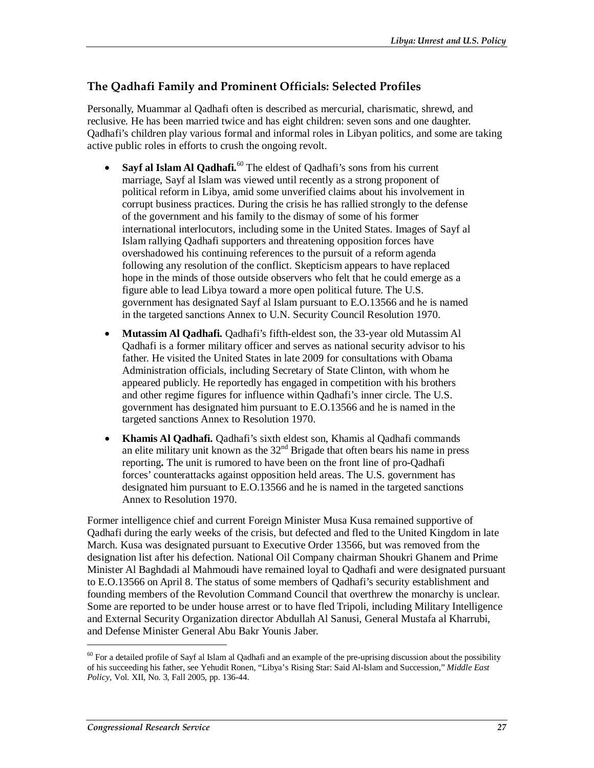### **The Qadhafi Family and Prominent Officials: Selected Profiles**

Personally, Muammar al Qadhafi often is described as mercurial, charismatic, shrewd, and reclusive. He has been married twice and has eight children: seven sons and one daughter. Qadhafi's children play various formal and informal roles in Libyan politics, and some are taking active public roles in efforts to crush the ongoing revolt.

- **Sayf al Islam Al Qadhafi.**<sup>60</sup> The eldest of Qadhafi's sons from his current marriage, Sayf al Islam was viewed until recently as a strong proponent of political reform in Libya, amid some unverified claims about his involvement in corrupt business practices. During the crisis he has rallied strongly to the defense of the government and his family to the dismay of some of his former international interlocutors, including some in the United States. Images of Sayf al Islam rallying Qadhafi supporters and threatening opposition forces have overshadowed his continuing references to the pursuit of a reform agenda following any resolution of the conflict. Skepticism appears to have replaced hope in the minds of those outside observers who felt that he could emerge as a figure able to lead Libya toward a more open political future. The U.S. government has designated Sayf al Islam pursuant to E.O.13566 and he is named in the targeted sanctions Annex to U.N. Security Council Resolution 1970.
- **Mutassim Al Qadhafi.** Qadhafi's fifth-eldest son, the 33-year old Mutassim Al Qadhafi is a former military officer and serves as national security advisor to his father. He visited the United States in late 2009 for consultations with Obama Administration officials, including Secretary of State Clinton, with whom he appeared publicly. He reportedly has engaged in competition with his brothers and other regime figures for influence within Qadhafi's inner circle. The U.S. government has designated him pursuant to E.O.13566 and he is named in the targeted sanctions Annex to Resolution 1970.
- **Khamis Al Qadhafi.** Qadhafi's sixth eldest son, Khamis al Qadhafi commands an elite military unit known as the  $32<sup>nd</sup>$  Brigade that often bears his name in press reporting**.** The unit is rumored to have been on the front line of pro-Qadhafi forces' counterattacks against opposition held areas. The U.S. government has designated him pursuant to E.O.13566 and he is named in the targeted sanctions Annex to Resolution 1970.

Former intelligence chief and current Foreign Minister Musa Kusa remained supportive of Qadhafi during the early weeks of the crisis, but defected and fled to the United Kingdom in late March. Kusa was designated pursuant to Executive Order 13566, but was removed from the designation list after his defection. National Oil Company chairman Shoukri Ghanem and Prime Minister Al Baghdadi al Mahmoudi have remained loyal to Qadhafi and were designated pursuant to E.O.13566 on April 8. The status of some members of Qadhafi's security establishment and founding members of the Revolution Command Council that overthrew the monarchy is unclear. Some are reported to be under house arrest or to have fled Tripoli, including Military Intelligence and External Security Organization director Abdullah Al Sanusi, General Mustafa al Kharrubi, and Defense Minister General Abu Bakr Younis Jaber.

 $60$  For a detailed profile of Sayf al Islam al Qadhafi and an example of the pre-uprising discussion about the possibility of his succeeding his father, see Yehudit Ronen, "Libya's Rising Star: Said Al-Islam and Succession," *Middle East Policy*, Vol. XII, No. 3, Fall 2005, pp. 136-44.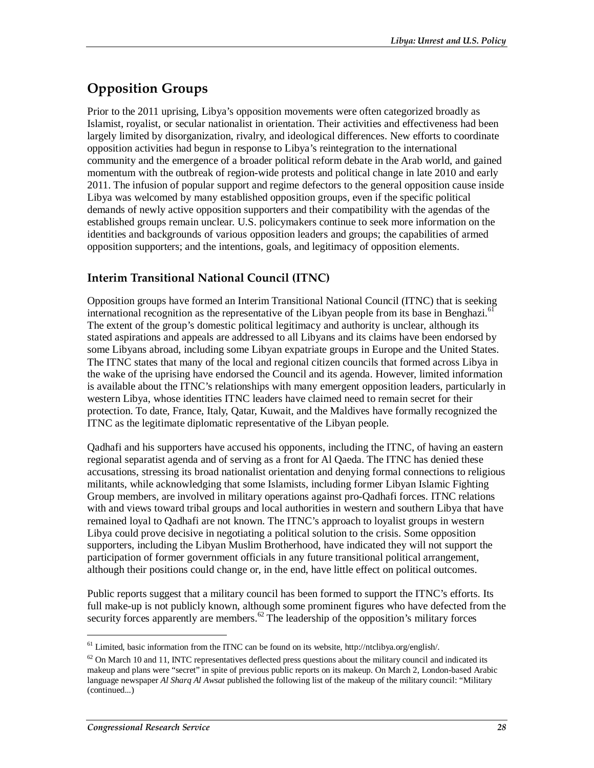# **Opposition Groups**

Prior to the 2011 uprising, Libya's opposition movements were often categorized broadly as Islamist, royalist, or secular nationalist in orientation. Their activities and effectiveness had been largely limited by disorganization, rivalry, and ideological differences. New efforts to coordinate opposition activities had begun in response to Libya's reintegration to the international community and the emergence of a broader political reform debate in the Arab world, and gained momentum with the outbreak of region-wide protests and political change in late 2010 and early 2011. The infusion of popular support and regime defectors to the general opposition cause inside Libya was welcomed by many established opposition groups, even if the specific political demands of newly active opposition supporters and their compatibility with the agendas of the established groups remain unclear. U.S. policymakers continue to seek more information on the identities and backgrounds of various opposition leaders and groups; the capabilities of armed opposition supporters; and the intentions, goals, and legitimacy of opposition elements.

## **Interim Transitional National Council (ITNC)**

Opposition groups have formed an Interim Transitional National Council (ITNC) that is seeking international recognition as the representative of the Libyan people from its base in Benghazi.<sup>61</sup> The extent of the group's domestic political legitimacy and authority is unclear, although its stated aspirations and appeals are addressed to all Libyans and its claims have been endorsed by some Libyans abroad, including some Libyan expatriate groups in Europe and the United States. The ITNC states that many of the local and regional citizen councils that formed across Libya in the wake of the uprising have endorsed the Council and its agenda. However, limited information is available about the ITNC's relationships with many emergent opposition leaders, particularly in western Libya, whose identities ITNC leaders have claimed need to remain secret for their protection. To date, France, Italy, Qatar, Kuwait, and the Maldives have formally recognized the ITNC as the legitimate diplomatic representative of the Libyan people.

Qadhafi and his supporters have accused his opponents, including the ITNC, of having an eastern regional separatist agenda and of serving as a front for Al Qaeda. The ITNC has denied these accusations, stressing its broad nationalist orientation and denying formal connections to religious militants, while acknowledging that some Islamists, including former Libyan Islamic Fighting Group members, are involved in military operations against pro-Qadhafi forces. ITNC relations with and views toward tribal groups and local authorities in western and southern Libya that have remained loyal to Qadhafi are not known. The ITNC's approach to loyalist groups in western Libya could prove decisive in negotiating a political solution to the crisis. Some opposition supporters, including the Libyan Muslim Brotherhood, have indicated they will not support the participation of former government officials in any future transitional political arrangement, although their positions could change or, in the end, have little effect on political outcomes.

Public reports suggest that a military council has been formed to support the ITNC's efforts. Its full make-up is not publicly known, although some prominent figures who have defected from the security forces apparently are members. $62$  The leadership of the opposition's military forces

<sup>61</sup> Limited, basic information from the ITNC can be found on its website, http://ntclibya.org/english/.

 $62$  On March 10 and 11, INTC representatives deflected press questions about the military council and indicated its makeup and plans were "secret" in spite of previous public reports on its makeup. On March 2, London-based Arabic language newspaper *Al Sharq Al Awsat* published the following list of the makeup of the military council: "Military (continued...)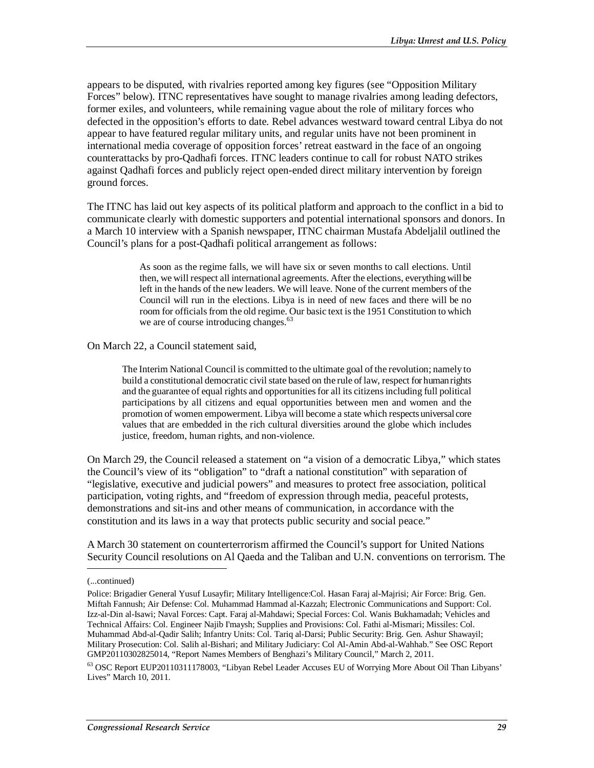appears to be disputed, with rivalries reported among key figures (see "Opposition Military Forces" below). ITNC representatives have sought to manage rivalries among leading defectors, former exiles, and volunteers, while remaining vague about the role of military forces who defected in the opposition's efforts to date. Rebel advances westward toward central Libya do not appear to have featured regular military units, and regular units have not been prominent in international media coverage of opposition forces' retreat eastward in the face of an ongoing counterattacks by pro-Qadhafi forces. ITNC leaders continue to call for robust NATO strikes against Qadhafi forces and publicly reject open-ended direct military intervention by foreign ground forces.

The ITNC has laid out key aspects of its political platform and approach to the conflict in a bid to communicate clearly with domestic supporters and potential international sponsors and donors. In a March 10 interview with a Spanish newspaper, ITNC chairman Mustafa Abdeljalil outlined the Council's plans for a post-Qadhafi political arrangement as follows:

> As soon as the regime falls, we will have six or seven months to call elections. Until then, we will respect all international agreements. After the elections, everything will be left in the hands of the new leaders. We will leave. None of the current members of the Council will run in the elections. Libya is in need of new faces and there will be no room for officials from the old regime. Our basic text is the 1951 Constitution to which we are of course introducing changes.<sup>63</sup>

On March 22, a Council statement said,

The Interim National Council is committed to the ultimate goal of the revolution; namely to build a constitutional democratic civil state based on the rule of law, respect for human rights and the guarantee of equal rights and opportunities for all its citizens including full political participations by all citizens and equal opportunities between men and women and the promotion of women empowerment. Libya will become a state which respects universal core values that are embedded in the rich cultural diversities around the globe which includes justice, freedom, human rights, and non-violence.

On March 29, the Council released a statement on "a vision of a democratic Libya," which states the Council's view of its "obligation" to "draft a national constitution" with separation of "legislative, executive and judicial powers" and measures to protect free association, political participation, voting rights, and "freedom of expression through media, peaceful protests, demonstrations and sit-ins and other means of communication, in accordance with the constitution and its laws in a way that protects public security and social peace."

A March 30 statement on counterterrorism affirmed the Council's support for United Nations Security Council resolutions on Al Qaeda and the Taliban and U.N. conventions on terrorism. The

<sup>(...</sup>continued)

Police: Brigadier General Yusuf Lusayfir; Military Intelligence:Col. Hasan Faraj al-Majrisi; Air Force: Brig. Gen. Miftah Fannush; Air Defense: Col. Muhammad Hammad al-Kazzah; Electronic Communications and Support: Col. Izz-al-Din al-Isawi; Naval Forces: Capt. Faraj al-Mahdawi; Special Forces: Col. Wanis Bukhamadah; Vehicles and Technical Affairs: Col. Engineer Najib I'maysh; Supplies and Provisions: Col. Fathi al-Mismari; Missiles: Col. Muhammad Abd-al-Qadir Salih; Infantry Units: Col. Tariq al-Darsi; Public Security: Brig. Gen. Ashur Shawayil; Military Prosecution: Col. Salih al-Bishari; and Military Judiciary: Col Al-Amin Abd-al-Wahhab." See OSC Report GMP20110302825014, "Report Names Members of Benghazi's Military Council," March 2, 2011.

<sup>63</sup> OSC Report EUP20110311178003, "Libyan Rebel Leader Accuses EU of Worrying More About Oil Than Libyans' Lives" March 10, 2011.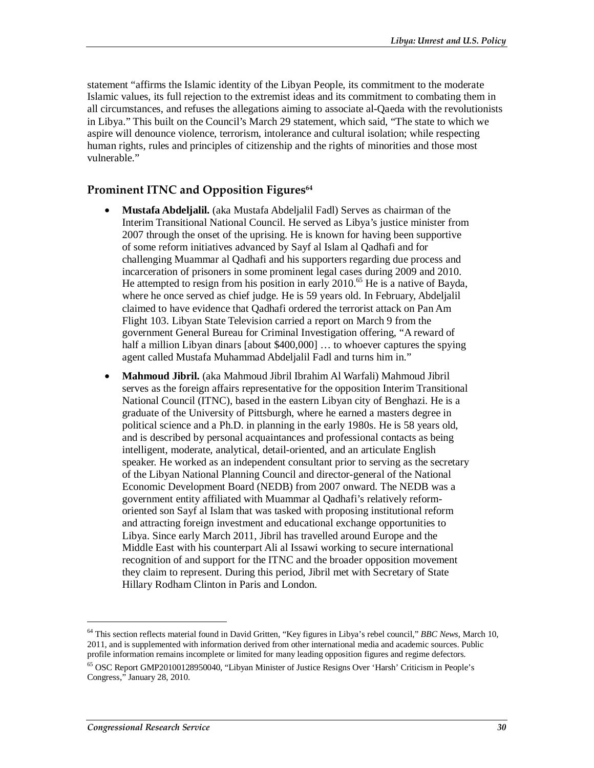statement "affirms the Islamic identity of the Libyan People, its commitment to the moderate Islamic values, its full rejection to the extremist ideas and its commitment to combating them in all circumstances, and refuses the allegations aiming to associate al-Qaeda with the revolutionists in Libya." This built on the Council's March 29 statement, which said, "The state to which we aspire will denounce violence, terrorism, intolerance and cultural isolation; while respecting human rights, rules and principles of citizenship and the rights of minorities and those most vulnerable."

#### Prominent ITNC and Opposition Figures<sup>64</sup>

- **Mustafa Abdeljalil.** (aka Mustafa Abdeljalil Fadl) Serves as chairman of the Interim Transitional National Council. He served as Libya's justice minister from 2007 through the onset of the uprising. He is known for having been supportive of some reform initiatives advanced by Sayf al Islam al Qadhafi and for challenging Muammar al Qadhafi and his supporters regarding due process and incarceration of prisoners in some prominent legal cases during 2009 and 2010. He attempted to resign from his position in early  $2010^{65}$  He is a native of Bayda, where he once served as chief judge. He is 59 years old. In February, Abdeljalil claimed to have evidence that Qadhafi ordered the terrorist attack on Pan Am Flight 103. Libyan State Television carried a report on March 9 from the government General Bureau for Criminal Investigation offering, "A reward of half a million Libyan dinars [about \$400,000] ... to whoever captures the spying agent called Mustafa Muhammad Abdeljalil Fadl and turns him in."
- **Mahmoud Jibril.** (aka Mahmoud Jibril Ibrahim Al Warfali) Mahmoud Jibril serves as the foreign affairs representative for the opposition Interim Transitional National Council (ITNC), based in the eastern Libyan city of Benghazi. He is a graduate of the University of Pittsburgh, where he earned a masters degree in political science and a Ph.D. in planning in the early 1980s. He is 58 years old, and is described by personal acquaintances and professional contacts as being intelligent, moderate, analytical, detail-oriented, and an articulate English speaker. He worked as an independent consultant prior to serving as the secretary of the Libyan National Planning Council and director-general of the National Economic Development Board (NEDB) from 2007 onward. The NEDB was a government entity affiliated with Muammar al Qadhafi's relatively reformoriented son Sayf al Islam that was tasked with proposing institutional reform and attracting foreign investment and educational exchange opportunities to Libya. Since early March 2011, Jibril has travelled around Europe and the Middle East with his counterpart Ali al Issawi working to secure international recognition of and support for the ITNC and the broader opposition movement they claim to represent. During this period, Jibril met with Secretary of State Hillary Rodham Clinton in Paris and London.

<sup>64</sup> This section reflects material found in David Gritten, "Key figures in Libya's rebel council," *BBC News*, March 10, 2011, and is supplemented with information derived from other international media and academic sources. Public profile information remains incomplete or limited for many leading opposition figures and regime defectors.

<sup>65</sup> OSC Report GMP20100128950040, "Libyan Minister of Justice Resigns Over 'Harsh' Criticism in People's Congress," January 28, 2010.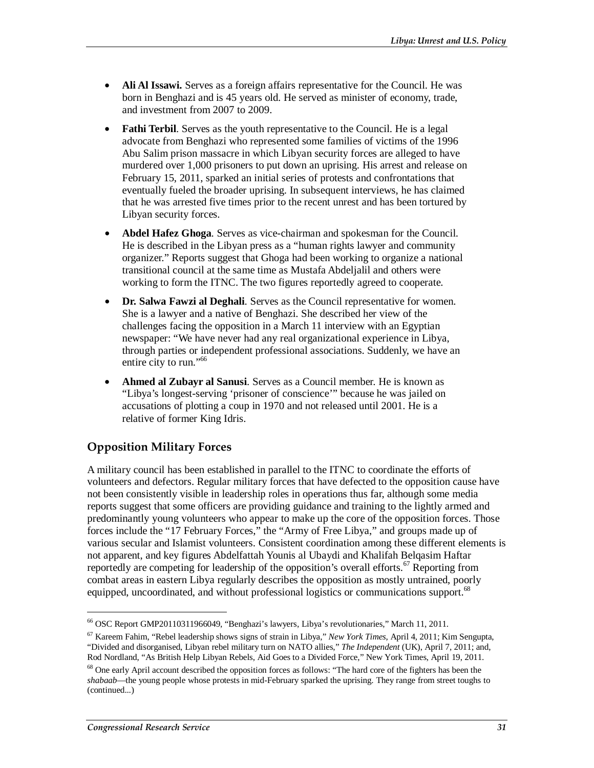- **Ali Al Issawi.** Serves as a foreign affairs representative for the Council. He was born in Benghazi and is 45 years old. He served as minister of economy, trade, and investment from 2007 to 2009.
- **Fathi Terbil**. Serves as the youth representative to the Council. He is a legal advocate from Benghazi who represented some families of victims of the 1996 Abu Salim prison massacre in which Libyan security forces are alleged to have murdered over 1,000 prisoners to put down an uprising. His arrest and release on February 15, 2011, sparked an initial series of protests and confrontations that eventually fueled the broader uprising. In subsequent interviews, he has claimed that he was arrested five times prior to the recent unrest and has been tortured by Libyan security forces.
- **Abdel Hafez Ghoga**. Serves as vice-chairman and spokesman for the Council. He is described in the Libyan press as a "human rights lawyer and community organizer." Reports suggest that Ghoga had been working to organize a national transitional council at the same time as Mustafa Abdeljalil and others were working to form the ITNC. The two figures reportedly agreed to cooperate.
- **Dr. Salwa Fawzi al Deghali**. Serves as the Council representative for women. She is a lawyer and a native of Benghazi. She described her view of the challenges facing the opposition in a March 11 interview with an Egyptian newspaper: "We have never had any real organizational experience in Libya, through parties or independent professional associations. Suddenly, we have an entire city to run."<sup>66</sup>
- **Ahmed al Zubayr al Sanusi**. Serves as a Council member. He is known as "Libya's longest-serving 'prisoner of conscience'" because he was jailed on accusations of plotting a coup in 1970 and not released until 2001. He is a relative of former King Idris.

## **Opposition Military Forces**

A military council has been established in parallel to the ITNC to coordinate the efforts of volunteers and defectors. Regular military forces that have defected to the opposition cause have not been consistently visible in leadership roles in operations thus far, although some media reports suggest that some officers are providing guidance and training to the lightly armed and predominantly young volunteers who appear to make up the core of the opposition forces. Those forces include the "17 February Forces," the "Army of Free Libya," and groups made up of various secular and Islamist volunteers. Consistent coordination among these different elements is not apparent, and key figures Abdelfattah Younis al Ubaydi and Khalifah Belqasim Haftar reportedly are competing for leadership of the opposition's overall efforts.<sup>67</sup> Reporting from combat areas in eastern Libya regularly describes the opposition as mostly untrained, poorly equipped, uncoordinated, and without professional logistics or communications support.<sup>68</sup>

<sup>66</sup> OSC Report GMP20110311966049, "Benghazi's lawyers, Libya's revolutionaries," March 11, 2011.

<sup>67</sup> Kareem Fahim, "Rebel leadership shows signs of strain in Libya," *New York Times*, April 4, 2011; Kim Sengupta, "Divided and disorganised, Libyan rebel military turn on NATO allies," *The Independent* (UK), April 7, 2011; and, Rod Nordland, "As British Help Libyan Rebels, Aid Goes to a Divided Force," New York Times, April 19, 2011. <sup>68</sup> One early April account described the opposition forces as follows: "The hard core of the fighters has been the *shabaab*—the young people whose protests in mid-February sparked the uprising. They range from street toughs to (continued...)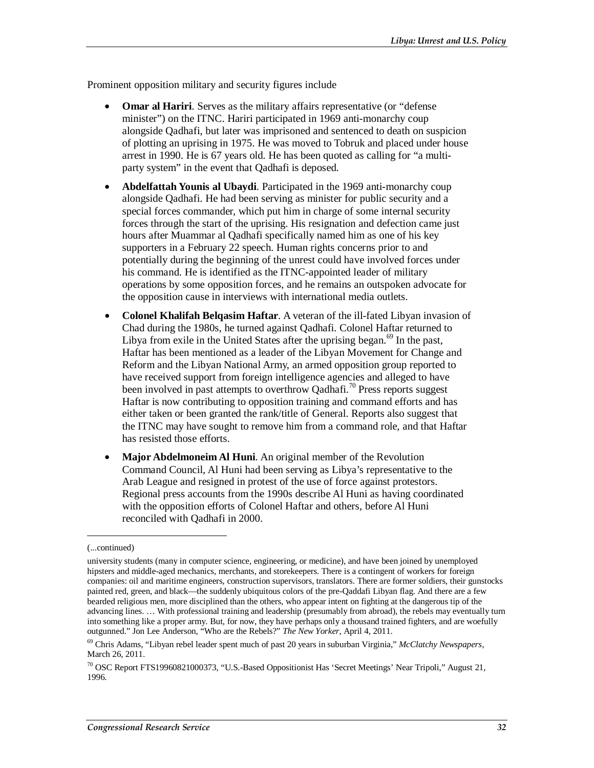Prominent opposition military and security figures include

- **Omar al Hariri**. Serves as the military affairs representative (or "defense minister") on the ITNC. Hariri participated in 1969 anti-monarchy coup alongside Qadhafi, but later was imprisoned and sentenced to death on suspicion of plotting an uprising in 1975. He was moved to Tobruk and placed under house arrest in 1990. He is 67 years old. He has been quoted as calling for "a multiparty system" in the event that Qadhafi is deposed.
- **Abdelfattah Younis al Ubaydi**. Participated in the 1969 anti-monarchy coup alongside Qadhafi. He had been serving as minister for public security and a special forces commander, which put him in charge of some internal security forces through the start of the uprising. His resignation and defection came just hours after Muammar al Qadhafi specifically named him as one of his key supporters in a February 22 speech. Human rights concerns prior to and potentially during the beginning of the unrest could have involved forces under his command. He is identified as the ITNC-appointed leader of military operations by some opposition forces, and he remains an outspoken advocate for the opposition cause in interviews with international media outlets.
- **Colonel Khalifah Belqasim Haftar**. A veteran of the ill-fated Libyan invasion of Chad during the 1980s, he turned against Qadhafi. Colonel Haftar returned to Libya from exile in the United States after the uprising began. $69$  In the past, Haftar has been mentioned as a leader of the Libyan Movement for Change and Reform and the Libyan National Army, an armed opposition group reported to have received support from foreign intelligence agencies and alleged to have been involved in past attempts to overthrow Qadhafi.<sup>70</sup> Press reports suggest Haftar is now contributing to opposition training and command efforts and has either taken or been granted the rank/title of General. Reports also suggest that the ITNC may have sought to remove him from a command role, and that Haftar has resisted those efforts.
- **Major Abdelmoneim Al Huni**. An original member of the Revolution Command Council, Al Huni had been serving as Libya's representative to the Arab League and resigned in protest of the use of force against protestors. Regional press accounts from the 1990s describe Al Huni as having coordinated with the opposition efforts of Colonel Haftar and others, before Al Huni reconciled with Qadhafi in 2000.

<sup>(...</sup>continued)

university students (many in computer science, engineering, or medicine), and have been joined by unemployed hipsters and middle-aged mechanics, merchants, and storekeepers. There is a contingent of workers for foreign companies: oil and maritime engineers, construction supervisors, translators. There are former soldiers, their gunstocks painted red, green, and black—the suddenly ubiquitous colors of the pre-Qaddafi Libyan flag. And there are a few bearded religious men, more disciplined than the others, who appear intent on fighting at the dangerous tip of the advancing lines. … With professional training and leadership (presumably from abroad), the rebels may eventually turn into something like a proper army. But, for now, they have perhaps only a thousand trained fighters, and are woefully outgunned." Jon Lee Anderson, "Who are the Rebels?" *The New Yorker*, April 4, 2011.

<sup>69</sup> Chris Adams, "Libyan rebel leader spent much of past 20 years in suburban Virginia," *McClatchy Newspapers*, March 26, 2011.

<sup>70</sup> OSC Report FTS19960821000373, "U.S.-Based Oppositionist Has 'Secret Meetings' Near Tripoli," August 21, 1996.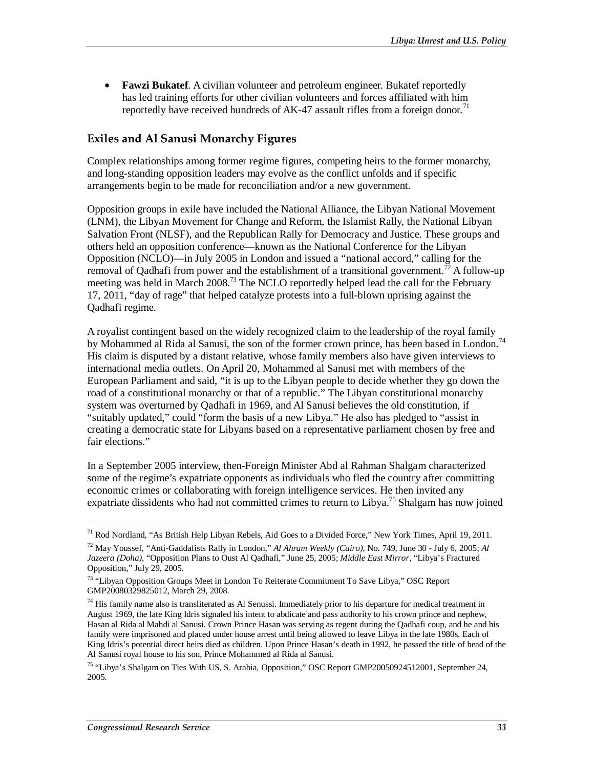• **Fawzi Bukatef**. A civilian volunteer and petroleum engineer. Bukatef reportedly has led training efforts for other civilian volunteers and forces affiliated with him reportedly have received hundreds of AK-47 assault rifles from a foreign donor.<sup>71</sup>

#### **Exiles and Al Sanusi Monarchy Figures**

Complex relationships among former regime figures, competing heirs to the former monarchy, and long-standing opposition leaders may evolve as the conflict unfolds and if specific arrangements begin to be made for reconciliation and/or a new government.

Opposition groups in exile have included the National Alliance, the Libyan National Movement (LNM), the Libyan Movement for Change and Reform, the Islamist Rally, the National Libyan Salvation Front (NLSF), and the Republican Rally for Democracy and Justice. These groups and others held an opposition conference—known as the National Conference for the Libyan Opposition (NCLO)—in July 2005 in London and issued a "national accord," calling for the removal of Qadhafi from power and the establishment of a transitional government.<sup>72</sup> A follow-up meeting was held in March 2008.<sup>73</sup> The NCLO reportedly helped lead the call for the February 17, 2011, "day of rage" that helped catalyze protests into a full-blown uprising against the Qadhafi regime.

A royalist contingent based on the widely recognized claim to the leadership of the royal family by Mohammed al Rida al Sanusi, the son of the former crown prince, has been based in London.<sup>74</sup> His claim is disputed by a distant relative, whose family members also have given interviews to international media outlets. On April 20, Mohammed al Sanusi met with members of the European Parliament and said, "it is up to the Libyan people to decide whether they go down the road of a constitutional monarchy or that of a republic." The Libyan constitutional monarchy system was overturned by Qadhafi in 1969, and Al Sanusi believes the old constitution, if "suitably updated," could "form the basis of a new Libya." He also has pledged to "assist in creating a democratic state for Libyans based on a representative parliament chosen by free and fair elections."

In a September 2005 interview, then-Foreign Minister Abd al Rahman Shalgam characterized some of the regime's expatriate opponents as individuals who fled the country after committing economic crimes or collaborating with foreign intelligence services. He then invited any expatriate dissidents who had not committed crimes to return to Libya.<sup>75</sup> Shalgam has now joined

<sup>71</sup> Rod Nordland, "As British Help Libyan Rebels, Aid Goes to a Divided Force," New York Times, April 19, 2011.

<sup>72</sup> May Youssef, "Anti-Gaddafists Rally in London," *Al Ahram Weekly (Cairo)*, No. 749, June 30 - July 6, 2005; *Al Jazeera (Doha)*, "Opposition Plans to Oust Al Qadhafi," June 25, 2005; *Middle East Mirror*, "Libya's Fractured Opposition," July 29, 2005.

<sup>&</sup>lt;sup>73</sup> "Libyan Opposition Groups Meet in London To Reiterate Commitment To Save Libya," OSC Report GMP20080329825012, March 29, 2008.

 $74$  His family name also is transliterated as Al Senussi. Immediately prior to his departure for medical treatment in August 1969, the late King Idris signaled his intent to abdicate and pass authority to his crown prince and nephew, Hasan al Rida al Mahdi al Sanusi. Crown Prince Hasan was serving as regent during the Qadhafi coup, and he and his family were imprisoned and placed under house arrest until being allowed to leave Libya in the late 1980s. Each of King Idris's potential direct heirs died as children. Upon Prince Hasan's death in 1992, he passed the title of head of the Al Sanusi royal house to his son, Prince Mohammed al Rida al Sanusi.

<sup>75 &</sup>quot;Libya's Shalgam on Ties With US, S. Arabia, Opposition," OSC Report GMP20050924512001, September 24, 2005.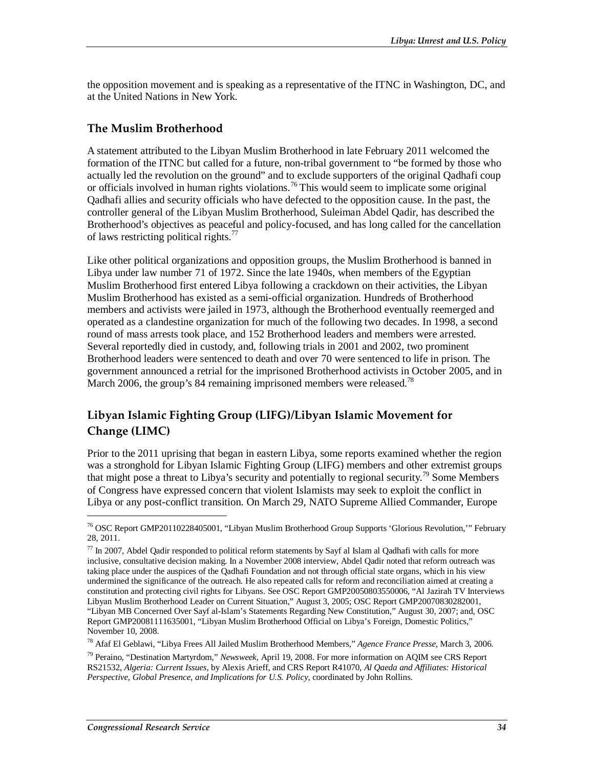the opposition movement and is speaking as a representative of the ITNC in Washington, DC, and at the United Nations in New York.

#### **The Muslim Brotherhood**

A statement attributed to the Libyan Muslim Brotherhood in late February 2011 welcomed the formation of the ITNC but called for a future, non-tribal government to "be formed by those who actually led the revolution on the ground" and to exclude supporters of the original Qadhafi coup or officials involved in human rights violations.<sup>76</sup> This would seem to implicate some original Qadhafi allies and security officials who have defected to the opposition cause. In the past, the controller general of the Libyan Muslim Brotherhood, Suleiman Abdel Qadir, has described the Brotherhood's objectives as peaceful and policy-focused, and has long called for the cancellation of laws restricting political rights.<sup>77</sup>

Like other political organizations and opposition groups, the Muslim Brotherhood is banned in Libya under law number 71 of 1972. Since the late 1940s, when members of the Egyptian Muslim Brotherhood first entered Libya following a crackdown on their activities, the Libyan Muslim Brotherhood has existed as a semi-official organization. Hundreds of Brotherhood members and activists were jailed in 1973, although the Brotherhood eventually reemerged and operated as a clandestine organization for much of the following two decades. In 1998, a second round of mass arrests took place, and 152 Brotherhood leaders and members were arrested. Several reportedly died in custody, and, following trials in 2001 and 2002, two prominent Brotherhood leaders were sentenced to death and over 70 were sentenced to life in prison. The government announced a retrial for the imprisoned Brotherhood activists in October 2005, and in March 2006, the group's 84 remaining imprisoned members were released.<sup>78</sup>

## **Libyan Islamic Fighting Group (LIFG)/Libyan Islamic Movement for Change (LIMC)**

Prior to the 2011 uprising that began in eastern Libya, some reports examined whether the region was a stronghold for Libyan Islamic Fighting Group (LIFG) members and other extremist groups that might pose a threat to Libya's security and potentially to regional security.<sup>79</sup> Some Members of Congress have expressed concern that violent Islamists may seek to exploit the conflict in Libya or any post-conflict transition. On March 29, NATO Supreme Allied Commander, Europe

<sup>76</sup> OSC Report GMP20110228405001, "Libyan Muslim Brotherhood Group Supports 'Glorious Revolution,'" February 28, 2011.

 $77$  In 2007, Abdel Qadir responded to political reform statements by Sayf al Islam al Qadhafi with calls for more inclusive, consultative decision making. In a November 2008 interview, Abdel Qadir noted that reform outreach was taking place under the auspices of the Qadhafi Foundation and not through official state organs, which in his view undermined the significance of the outreach. He also repeated calls for reform and reconciliation aimed at creating a constitution and protecting civil rights for Libyans. See OSC Report GMP20050803550006, "Al Jazirah TV Interviews Libyan Muslim Brotherhood Leader on Current Situation," August 3, 2005; OSC Report GMP20070830282001, "Libyan MB Concerned Over Sayf al-Islam's Statements Regarding New Constitution," August 30, 2007; and, OSC Report GMP20081111635001, "Libyan Muslim Brotherhood Official on Libya's Foreign, Domestic Politics," November 10, 2008.

<sup>78</sup> Afaf El Geblawi, "Libya Frees All Jailed Muslim Brotherhood Members," *Agence France Presse*, March 3, 2006.

<sup>79</sup> Peraino, "Destination Martyrdom," *Newsweek*, April 19, 2008. For more information on AQIM see CRS Report RS21532, *Algeria: Current Issues*, by Alexis Arieff, and CRS Report R41070, *Al Qaeda and Affiliates: Historical Perspective, Global Presence, and Implications for U.S. Policy*, coordinated by John Rollins.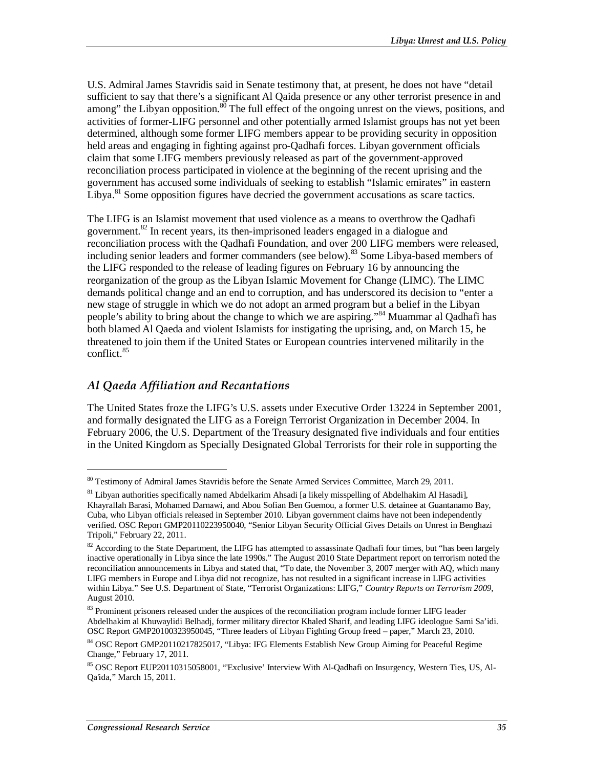U.S. Admiral James Stavridis said in Senate testimony that, at present, he does not have "detail sufficient to say that there's a significant Al Qaida presence or any other terrorist presence in and among" the Libyan opposition.<sup>80</sup> The full effect of the ongoing unrest on the views, positions, and activities of former-LIFG personnel and other potentially armed Islamist groups has not yet been determined, although some former LIFG members appear to be providing security in opposition held areas and engaging in fighting against pro-Qadhafi forces. Libyan government officials claim that some LIFG members previously released as part of the government-approved reconciliation process participated in violence at the beginning of the recent uprising and the government has accused some individuals of seeking to establish "Islamic emirates" in eastern Libya.<sup>81</sup> Some opposition figures have decried the government accusations as scare tactics.

The LIFG is an Islamist movement that used violence as a means to overthrow the Qadhafi government.82 In recent years, its then-imprisoned leaders engaged in a dialogue and reconciliation process with the Qadhafi Foundation, and over 200 LIFG members were released, including senior leaders and former commanders (see below).<sup>83</sup> Some Libya-based members of the LIFG responded to the release of leading figures on February 16 by announcing the reorganization of the group as the Libyan Islamic Movement for Change (LIMC). The LIMC demands political change and an end to corruption, and has underscored its decision to "enter a new stage of struggle in which we do not adopt an armed program but a belief in the Libyan people's ability to bring about the change to which we are aspiring."<sup>84</sup> Muammar al Qadhafi has both blamed Al Qaeda and violent Islamists for instigating the uprising, and, on March 15, he threatened to join them if the United States or European countries intervened militarily in the conflict.<sup>85</sup>

### *Al Qaeda Affiliation and Recantations*

The United States froze the LIFG's U.S. assets under Executive Order 13224 in September 2001, and formally designated the LIFG as a Foreign Terrorist Organization in December 2004. In February 2006, the U.S. Department of the Treasury designated five individuals and four entities in the United Kingdom as Specially Designated Global Terrorists for their role in supporting the

<sup>&</sup>lt;sup>80</sup> Testimony of Admiral James Stavridis before the Senate Armed Services Committee, March 29, 2011.

<sup>&</sup>lt;sup>81</sup> Libyan authorities specifically named Abdelkarim Ahsadi [a likely misspelling of Abdelhakim Al Hasadi], Khayrallah Barasi, Mohamed Darnawi, and Abou Sofian Ben Guemou, a former U.S. detainee at Guantanamo Bay, Cuba, who Libyan officials released in September 2010. Libyan government claims have not been independently verified. OSC Report GMP20110223950040, "Senior Libyan Security Official Gives Details on Unrest in Benghazi Tripoli," February 22, 2011.

 $82$  According to the State Department, the LIFG has attempted to assassinate Qadhafi four times, but "has been largely inactive operationally in Libya since the late 1990s." The August 2010 State Department report on terrorism noted the reconciliation announcements in Libya and stated that, "To date, the November 3, 2007 merger with AQ, which many LIFG members in Europe and Libya did not recognize, has not resulted in a significant increase in LIFG activities within Libya." See U.S. Department of State, "Terrorist Organizations: LIFG," *Country Reports on Terrorism 2009*, August 2010.

<sup>&</sup>lt;sup>83</sup> Prominent prisoners released under the auspices of the reconciliation program include former LIFG leader Abdelhakim al Khuwaylidi Belhadj, former military director Khaled Sharif, and leading LIFG ideologue Sami Sa'idi. OSC Report GMP20100323950045, "Three leaders of Libyan Fighting Group freed – paper," March 23, 2010.

<sup>&</sup>lt;sup>84</sup> OSC Report GMP20110217825017, "Libya: IFG Elements Establish New Group Aiming for Peaceful Regime Change," February 17, 2011.

<sup>85</sup> OSC Report EUP20110315058001, "Exclusive' Interview With Al-Qadhafi on Insurgency, Western Ties, US, Al-Qa'ida," March 15, 2011.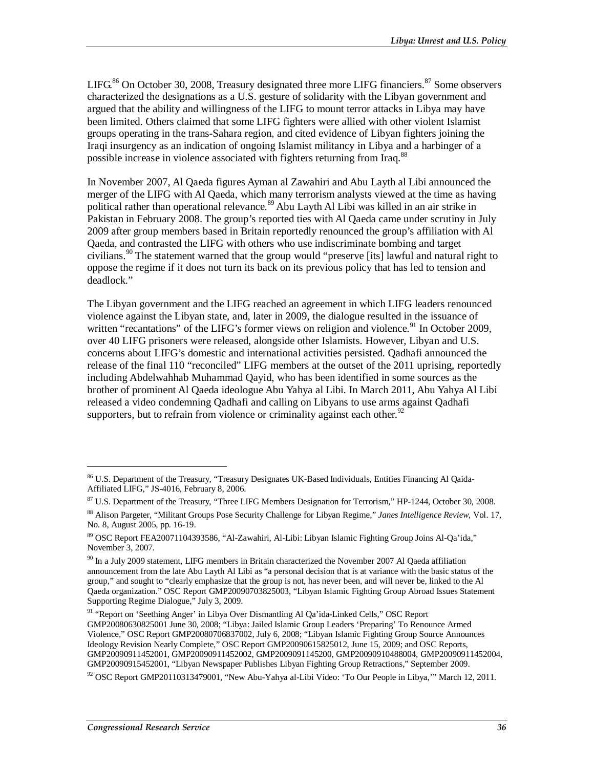LIFG.<sup>86</sup> On October 30, 2008, Treasury designated three more LIFG financiers.<sup>87</sup> Some observers characterized the designations as a U.S. gesture of solidarity with the Libyan government and argued that the ability and willingness of the LIFG to mount terror attacks in Libya may have been limited. Others claimed that some LIFG fighters were allied with other violent Islamist groups operating in the trans-Sahara region, and cited evidence of Libyan fighters joining the Iraqi insurgency as an indication of ongoing Islamist militancy in Libya and a harbinger of a possible increase in violence associated with fighters returning from Iraq.<sup>88</sup>

In November 2007, Al Qaeda figures Ayman al Zawahiri and Abu Layth al Libi announced the merger of the LIFG with Al Qaeda, which many terrorism analysts viewed at the time as having political rather than operational relevance.<sup>89</sup> Abu Layth Al Libi was killed in an air strike in Pakistan in February 2008. The group's reported ties with Al Qaeda came under scrutiny in July 2009 after group members based in Britain reportedly renounced the group's affiliation with Al Qaeda, and contrasted the LIFG with others who use indiscriminate bombing and target civilians.<sup>90</sup> The statement warned that the group would "preserve [its] lawful and natural right to oppose the regime if it does not turn its back on its previous policy that has led to tension and deadlock."

The Libyan government and the LIFG reached an agreement in which LIFG leaders renounced violence against the Libyan state, and, later in 2009, the dialogue resulted in the issuance of written "recantations" of the LIFG's former views on religion and violence.<sup>91</sup> In October 2009, over 40 LIFG prisoners were released, alongside other Islamists. However, Libyan and U.S. concerns about LIFG's domestic and international activities persisted. Qadhafi announced the release of the final 110 "reconciled" LIFG members at the outset of the 2011 uprising, reportedly including Abdelwahhab Muhammad Qayid, who has been identified in some sources as the brother of prominent Al Qaeda ideologue Abu Yahya al Libi. In March 2011, Abu Yahya Al Libi released a video condemning Qadhafi and calling on Libyans to use arms against Qadhafi supporters, but to refrain from violence or criminality against each other.<sup>92</sup>

<sup>&</sup>lt;sup>86</sup> U.S. Department of the Treasury, "Treasury Designates UK-Based Individuals, Entities Financing Al Qaida-Affiliated LIFG," JS-4016, February 8, 2006.

<sup>87</sup> U.S. Department of the Treasury, "Three LIFG Members Designation for Terrorism," HP-1244, October 30, 2008.

<sup>88</sup> Alison Pargeter, "Militant Groups Pose Security Challenge for Libyan Regime," *Janes Intelligence Review*, Vol. 17, No. 8, August 2005, pp. 16-19.

<sup>89</sup> OSC Report FEA20071104393586, "Al-Zawahiri, Al-Libi: Libyan Islamic Fighting Group Joins Al-Qa'ida," November 3, 2007.

<sup>&</sup>lt;sup>90</sup> In a July 2009 statement, LIFG members in Britain characterized the November 2007 Al Qaeda affiliation announcement from the late Abu Layth Al Libi as "a personal decision that is at variance with the basic status of the group," and sought to "clearly emphasize that the group is not, has never been, and will never be, linked to the Al Qaeda organization." OSC Report GMP20090703825003, "Libyan Islamic Fighting Group Abroad Issues Statement Supporting Regime Dialogue," July 3, 2009.

<sup>91 &</sup>quot;Report on 'Seething Anger' in Libya Over Dismantling Al Qa'ida-Linked Cells," OSC Report GMP20080630825001 June 30, 2008; "Libya: Jailed Islamic Group Leaders 'Preparing' To Renounce Armed Violence," OSC Report GMP20080706837002, July 6, 2008; "Libyan Islamic Fighting Group Source Announces Ideology Revision Nearly Complete," OSC Report GMP20090615825012, June 15, 2009; and OSC Reports, GMP20090911452001, GMP20090911452002, GMP2009091145200, GMP20090910488004, GMP20090911452004, GMP20090915452001, "Libyan Newspaper Publishes Libyan Fighting Group Retractions," September 2009.

 $92$  OSC Report GMP20110313479001, "New Abu-Yahya al-Libi Video: 'To Our People in Libya,'" March 12, 2011.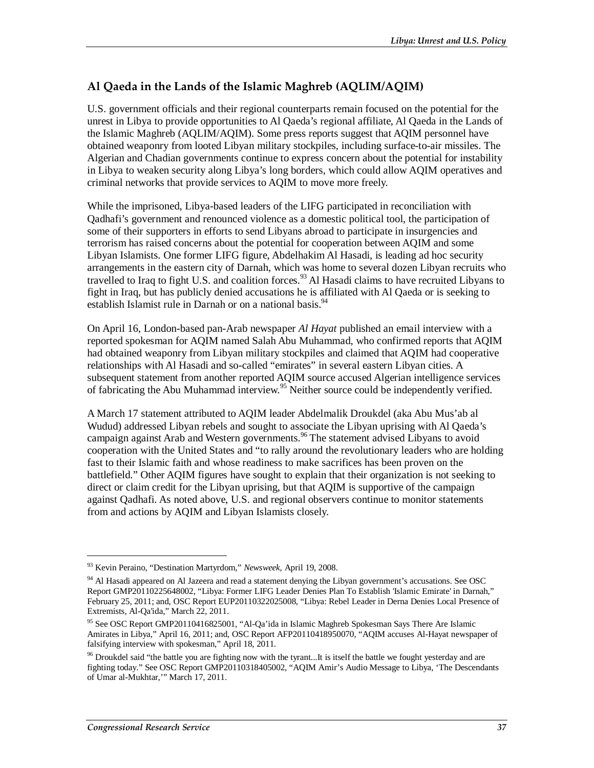### **Al Qaeda in the Lands of the Islamic Maghreb (AQLIM/AQIM)**

U.S. government officials and their regional counterparts remain focused on the potential for the unrest in Libya to provide opportunities to Al Qaeda's regional affiliate, Al Qaeda in the Lands of the Islamic Maghreb (AQLIM/AQIM). Some press reports suggest that AQIM personnel have obtained weaponry from looted Libyan military stockpiles, including surface-to-air missiles. The Algerian and Chadian governments continue to express concern about the potential for instability in Libya to weaken security along Libya's long borders, which could allow AQIM operatives and criminal networks that provide services to AQIM to move more freely.

While the imprisoned, Libya-based leaders of the LIFG participated in reconciliation with Qadhafi's government and renounced violence as a domestic political tool, the participation of some of their supporters in efforts to send Libyans abroad to participate in insurgencies and terrorism has raised concerns about the potential for cooperation between AQIM and some Libyan Islamists. One former LIFG figure, Abdelhakim Al Hasadi, is leading ad hoc security arrangements in the eastern city of Darnah, which was home to several dozen Libyan recruits who travelled to Iraq to fight U.S. and coalition forces.<sup>93</sup> Al Hasadi claims to have recruited Libyans to fight in Iraq, but has publicly denied accusations he is affiliated with Al Qaeda or is seeking to establish Islamist rule in Darnah or on a national basis.<sup>94</sup>

On April 16, London-based pan-Arab newspaper *Al Hayat* published an email interview with a reported spokesman for AQIM named Salah Abu Muhammad, who confirmed reports that AQIM had obtained weaponry from Libyan military stockpiles and claimed that AQIM had cooperative relationships with Al Hasadi and so-called "emirates" in several eastern Libyan cities. A subsequent statement from another reported AQIM source accused Algerian intelligence services of fabricating the Abu Muhammad interview.<sup>95</sup> Neither source could be independently verified.

A March 17 statement attributed to AQIM leader Abdelmalik Droukdel (aka Abu Mus'ab al Wudud) addressed Libyan rebels and sought to associate the Libyan uprising with Al Qaeda's campaign against Arab and Western governments.<sup>96</sup> The statement advised Libyans to avoid cooperation with the United States and "to rally around the revolutionary leaders who are holding fast to their Islamic faith and whose readiness to make sacrifices has been proven on the battlefield." Other AQIM figures have sought to explain that their organization is not seeking to direct or claim credit for the Libyan uprising, but that AQIM is supportive of the campaign against Qadhafi. As noted above, U.S. and regional observers continue to monitor statements from and actions by AQIM and Libyan Islamists closely.

<sup>93</sup> Kevin Peraino, "Destination Martyrdom," *Newsweek*, April 19, 2008.

<sup>&</sup>lt;sup>94</sup> Al Hasadi appeared on Al Jazeera and read a statement denying the Libyan government's accusations. See OSC Report GMP20110225648002, "Libya: Former LIFG Leader Denies Plan To Establish 'Islamic Emirate' in Darnah," February 25, 2011; and, OSC Report EUP20110322025008, "Libya: Rebel Leader in Derna Denies Local Presence of Extremists, Al-Qa'ida," March 22, 2011.

<sup>&</sup>lt;sup>95</sup> See OSC Report GMP20110416825001, "Al-Qa'ida in Islamic Maghreb Spokesman Says There Are Islamic Amirates in Libya," April 16, 2011; and, OSC Report AFP20110418950070, "AQIM accuses Al-Hayat newspaper of falsifying interview with spokesman," April 18, 2011.

 $96$  Droukdel said "the battle you are fighting now with the tyrant...It is itself the battle we fought yesterday and are fighting today." See OSC Report GMP20110318405002, "AQIM Amir's Audio Message to Libya, 'The Descendants of Umar al-Mukhtar,'" March 17, 2011.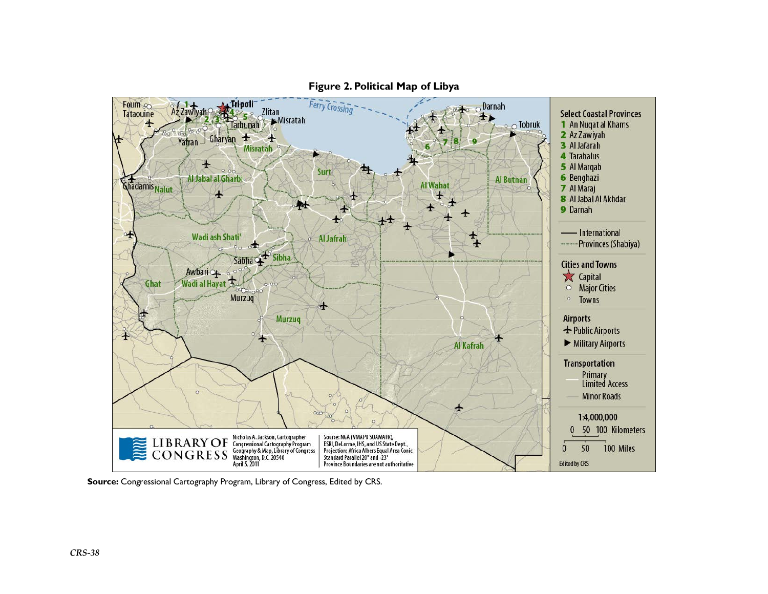

**Figure 2. Political Map of Libya** 

**Source:** Congressional Cartography Program, Library of Congress, Edited by CRS.